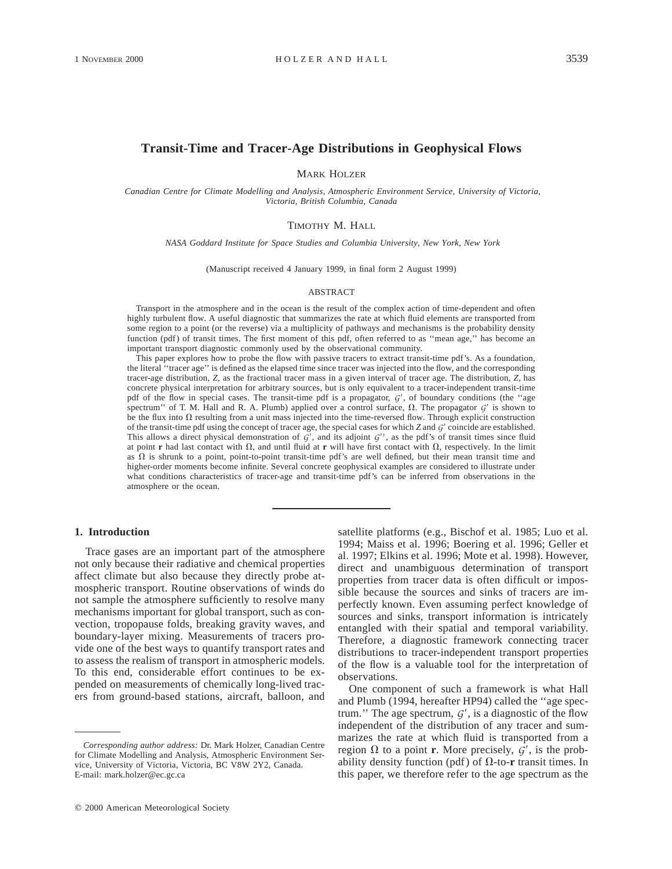## **Transit-Time and Tracer-Age Distributions in Geophysical Flows**

MARK HOLZER

*Canadian Centre for Climate Modelling and Analysis, Atmospheric Environment Service, University of Victoria, Victoria, British Columbia, Canada*

### TIMOTHY M. HALL

*NASA Goddard Institute for Space Studies and Columbia University, New York, New York*

(Manuscript received 4 January 1999, in final form 2 August 1999)

#### ABSTRACT

Transport in the atmosphere and in the ocean is the result of the complex action of time-dependent and often highly turbulent flow. A useful diagnostic that summarizes the rate at which fluid elements are transported from some region to a point (or the reverse) via a multiplicity of pathways and mechanisms is the probability density function (pdf) of transit times. The first moment of this pdf, often referred to as ''mean age,'' has become an important transport diagnostic commonly used by the observational community.

This paper explores how to probe the flow with passive tracers to extract transit-time pdf's. As a foundation, the literal ''tracer age'' is defined as the elapsed time since tracer was injected into the flow, and the corresponding tracer-age distribution, *Z,* as the fractional tracer mass in a given interval of tracer age. The distribution, *Z,* has concrete physical interpretation for arbitrary sources, but is only equivalent to a tracer-independent transit-time pdf of the flow in special cases. The transit-time pdf is a propagator,  $G'$ , of boundary conditions (the "age spectrum'' of T. M. Hall and R. A. Plumb) applied over a control surface,  $\Omega$ . The propagator  $G'$  is shown to be the flux into  $\Omega$  resulting from a unit mass injected into the time-reversed flow. Through explicit construction of the transit-time pdf using the concept of tracer age, the special cases for which *Z* and *G*9 coincide are established. This allows a direct physical demonstration of  $G'$ , and its adjoint  $G^{\dagger}$ , as the pdf's of transit times since fluid at point **r** had last contact with  $\Omega$ , and until fluid at **r** will have first contact with  $\Omega$ , respectively. In the limit as  $\Omega$  is shrunk to a point, point-to-point transit-time pdf's are well defined, but their mean transit time and higher-order moments become infinite. Several concrete geophysical examples are considered to illustrate under what conditions characteristics of tracer-age and transit-time pdf's can be inferred from observations in the atmosphere or the ocean.

### **1. Introduction**

Trace gases are an important part of the atmosphere not only because their radiative and chemical properties affect climate but also because they directly probe atmospheric transport. Routine observations of winds do not sample the atmosphere sufficiently to resolve many mechanisms important for global transport, such as convection, tropopause folds, breaking gravity waves, and boundary-layer mixing. Measurements of tracers provide one of the best ways to quantify transport rates and to assess the realism of transport in atmospheric models. To this end, considerable effort continues to be expended on measurements of chemically long-lived tracers from ground-based stations, aircraft, balloon, and satellite platforms (e.g., Bischof et al. 1985; Luo et al. 1994; Maiss et al. 1996; Boering et al. 1996; Geller et al. 1997; Elkins et al. 1996; Mote et al. 1998). However, direct and unambiguous determination of transport properties from tracer data is often difficult or impossible because the sources and sinks of tracers are imperfectly known. Even assuming perfect knowledge of sources and sinks, transport information is intricately entangled with their spatial and temporal variability. Therefore, a diagnostic framework connecting tracer distributions to tracer-independent transport properties of the flow is a valuable tool for the interpretation of observations.

One component of such a framework is what Hall and Plumb (1994, hereafter HP94) called the ''age spectrum." The age spectrum,  $G'$ , is a diagnostic of the flow independent of the distribution of any tracer and summarizes the rate at which fluid is transported from a region  $\Omega$  to a point **r**. More precisely,  $G'$ , is the probability density function (pdf) of  $\Omega$ -to-**r** transit times. In this paper, we therefore refer to the age spectrum as the

*Corresponding author address:* Dr. Mark Holzer, Canadian Centre for Climate Modelling and Analysis, Atmospheric Environment Service, University of Victoria, Victoria, BC V8W 2Y2, Canada. E-mail: mark.holzer@ec.gc.ca

 $Q$  2000 American Meteorological Society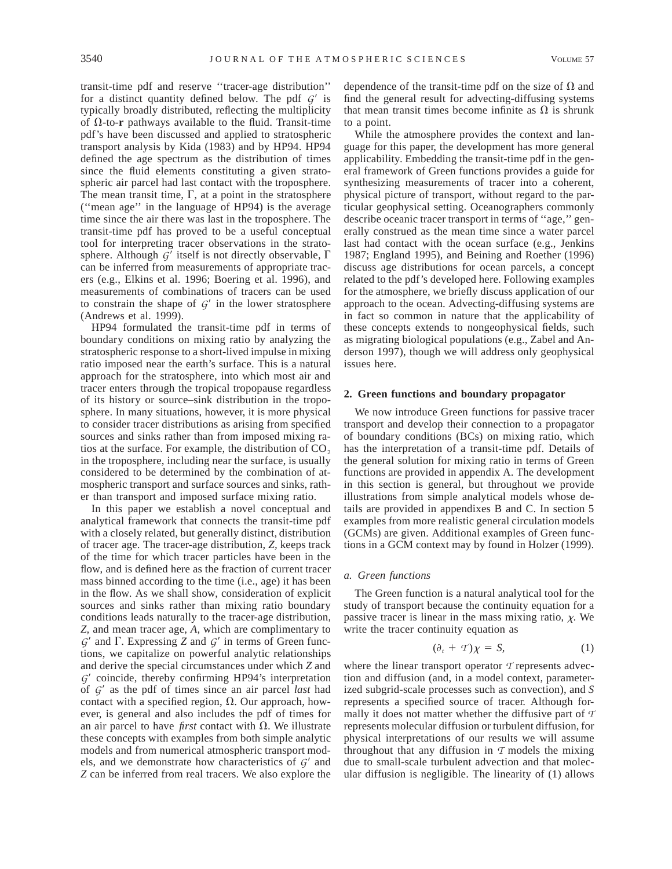transit-time pdf and reserve ''tracer-age distribution'' for a distinct quantity defined below. The pdf  $G'$  is typically broadly distributed, reflecting the multiplicity of  $\Omega$ -to-**r** pathways available to the fluid. Transit-time pdf's have been discussed and applied to stratospheric transport analysis by Kida (1983) and by HP94. HP94 defined the age spectrum as the distribution of times since the fluid elements constituting a given stratospheric air parcel had last contact with the troposphere. The mean transit time,  $\Gamma$ , at a point in the stratosphere (''mean age'' in the language of HP94) is the average time since the air there was last in the troposphere. The transit-time pdf has proved to be a useful conceptual tool for interpreting tracer observations in the stratosphere. Although  $G'$  itself is not directly observable,  $\Gamma$ can be inferred from measurements of appropriate tracers (e.g., Elkins et al. 1996; Boering et al. 1996), and measurements of combinations of tracers can be used to constrain the shape of  $G'$  in the lower stratosphere (Andrews et al. 1999).

HP94 formulated the transit-time pdf in terms of boundary conditions on mixing ratio by analyzing the stratospheric response to a short-lived impulse in mixing ratio imposed near the earth's surface. This is a natural approach for the stratosphere, into which most air and tracer enters through the tropical tropopause regardless of its history or source–sink distribution in the troposphere. In many situations, however, it is more physical to consider tracer distributions as arising from specified sources and sinks rather than from imposed mixing ratios at the surface. For example, the distribution of  $CO<sub>2</sub>$ in the troposphere, including near the surface, is usually considered to be determined by the combination of atmospheric transport and surface sources and sinks, rather than transport and imposed surface mixing ratio.

In this paper we establish a novel conceptual and analytical framework that connects the transit-time pdf with a closely related, but generally distinct, distribution of tracer age. The tracer-age distribution, *Z,* keeps track of the time for which tracer particles have been in the flow, and is defined here as the fraction of current tracer mass binned according to the time (i.e., age) it has been in the flow. As we shall show, consideration of explicit sources and sinks rather than mixing ratio boundary conditions leads naturally to the tracer-age distribution, *Z,* and mean tracer age, *A,* which are complimentary to  $G'$  and  $\Gamma$ . Expressing *Z* and  $G'$  in terms of Green functions, we capitalize on powerful analytic relationships and derive the special circumstances under which *Z* and *G*<sup> $\prime$ </sup> coincide, thereby confirming HP94's interpretation of *G*9 as the pdf of times since an air parcel *last* had contact with a specified region,  $\Omega$ . Our approach, however, is general and also includes the pdf of times for an air parcel to have *first* contact with  $\Omega$ . We illustrate these concepts with examples from both simple analytic models and from numerical atmospheric transport models, and we demonstrate how characteristics of  $G'$  and *Z* can be inferred from real tracers. We also explore the dependence of the transit-time pdf on the size of  $\Omega$  and find the general result for advecting-diffusing systems that mean transit times become infinite as  $\Omega$  is shrunk to a point.

While the atmosphere provides the context and language for this paper, the development has more general applicability. Embedding the transit-time pdf in the general framework of Green functions provides a guide for synthesizing measurements of tracer into a coherent, physical picture of transport, without regard to the particular geophysical setting. Oceanographers commonly describe oceanic tracer transport in terms of ''age,'' generally construed as the mean time since a water parcel last had contact with the ocean surface (e.g., Jenkins 1987; England 1995), and Beining and Roether (1996) discuss age distributions for ocean parcels, a concept related to the pdf's developed here. Following examples for the atmosphere, we briefly discuss application of our approach to the ocean. Advecting-diffusing systems are in fact so common in nature that the applicability of these concepts extends to nongeophysical fields, such as migrating biological populations (e.g., Zabel and Anderson 1997), though we will address only geophysical issues here.

### **2. Green functions and boundary propagator**

We now introduce Green functions for passive tracer transport and develop their connection to a propagator of boundary conditions (BCs) on mixing ratio, which has the interpretation of a transit-time pdf. Details of the general solution for mixing ratio in terms of Green functions are provided in appendix A. The development in this section is general, but throughout we provide illustrations from simple analytical models whose details are provided in appendixes B and C. In section 5 examples from more realistic general circulation models (GCMs) are given. Additional examples of Green functions in a GCM context may by found in Holzer (1999).

### *a. Green functions*

The Green function is a natural analytical tool for the study of transport because the continuity equation for a passive tracer is linear in the mass mixing ratio,  $\chi$ . We write the tracer continuity equation as

$$
(\partial_t + T)\chi = S,\tag{1}
$$

where the linear transport operator *T* represents advection and diffusion (and, in a model context, parameterized subgrid-scale processes such as convection), and *S* represents a specified source of tracer. Although formally it does not matter whether the diffusive part of *T* represents molecular diffusion or turbulent diffusion, for physical interpretations of our results we will assume throughout that any diffusion in  $\tau$  models the mixing due to small-scale turbulent advection and that molecular diffusion is negligible. The linearity of (1) allows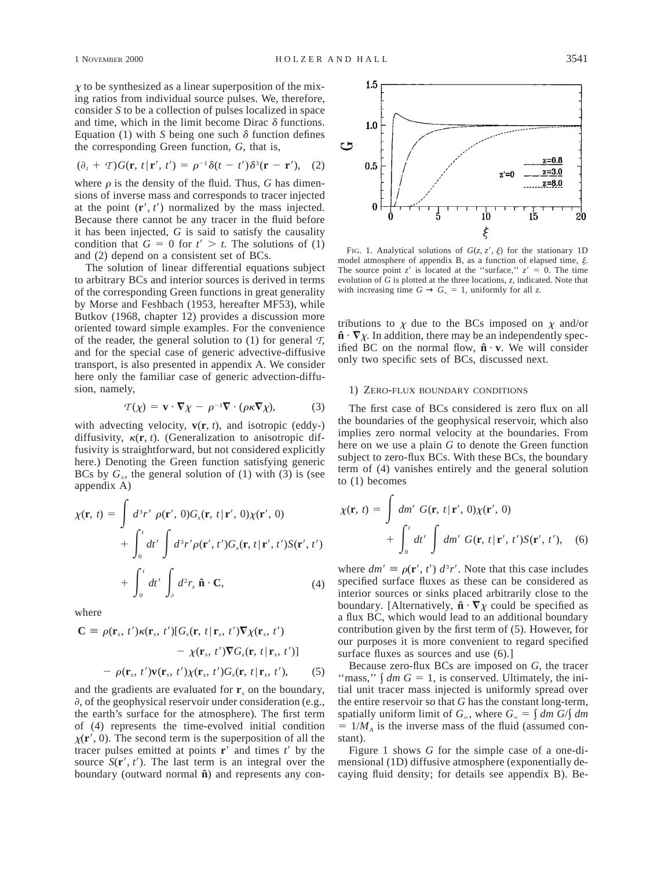$$
(\partial_t + T)G(\mathbf{r}, t | \mathbf{r}', t') = \rho^{-1}\delta(t - t')\delta^3(\mathbf{r} - \mathbf{r}'), (2)
$$

where  $\rho$  is the density of the fluid. Thus, *G* has dimensions of inverse mass and corresponds to tracer injected at the point  $(\mathbf{r}', t')$  normalized by the mass injected. Because there cannot be any tracer in the fluid before it has been injected, *G* is said to satisfy the causality condition that  $G = 0$  for  $t' > t$ . The solutions of (1) and (2) depend on a consistent set of BCs.

The solution of linear differential equations subject to arbitrary BCs and interior sources is derived in terms of the corresponding Green functions in great generality by Morse and Feshbach (1953, hereafter MF53), while Butkov (1968, chapter 12) provides a discussion more oriented toward simple examples. For the convenience of the reader, the general solution to  $(1)$  for general  $\mathcal{T}$ , and for the special case of generic advective-diffusive transport, is also presented in appendix A. We consider here only the familiar case of generic advection-diffusion, namely,

$$
\mathcal{T}(\chi) = \mathbf{v} \cdot \nabla \chi - \rho^{-1} \nabla \cdot (\rho \kappa \nabla \chi), \tag{3}
$$

with advecting velocity,  $\mathbf{v}(\mathbf{r}, t)$ , and isotropic (eddy-) diffusivity,  $\kappa(\mathbf{r}, t)$ . (Generalization to anisotropic diffusivity is straightforward, but not considered explicitly here.) Denoting the Green function satisfying generic BCs by  $G<sub>x</sub>$ , the general solution of (1) with (3) is (see appendix A)

$$
\chi(\mathbf{r}, t) = \int d^3r' \rho(\mathbf{r}', 0)G_x(\mathbf{r}, t | \mathbf{r}', 0)\chi(\mathbf{r}', 0)
$$
  
+ 
$$
\int_0^t dt' \int d^3r' \rho(\mathbf{r}', t')G_x(\mathbf{r}, t | \mathbf{r}', t')S(\mathbf{r}', t')
$$
  
+ 
$$
\int_0^t dt' \int_{\partial} d^2r_x \,\hat{\mathbf{n}} \cdot \mathbf{C}, \qquad (4)
$$

where

$$
\mathbf{C} \equiv \rho(\mathbf{r}_s, t')\kappa(\mathbf{r}_s, t')[G_x(\mathbf{r}, t | \mathbf{r}_s, t')\nabla \chi(\mathbf{r}_s, t')\n\n- \chi(\mathbf{r}_s, t')\nabla G_x(\mathbf{r}, t | \mathbf{r}_s, t')]\n\n- \rho(\mathbf{r}_s, t')\mathbf{v}(\mathbf{r}_s, t')\chi(\mathbf{r}_s, t')G_x(\mathbf{r}, t | \mathbf{r}_s, t'),
$$
\n(5)

and the gradients are evaluated for  $\mathbf{r}_s$  on the boundary,  $\partial$ , of the geophysical reservoir under consideration (e.g., the earth's surface for the atmosphere). The first term of (4) represents the time-evolved initial condition  $\chi(\mathbf{r}', 0)$ . The second term is the superposition of all the tracer pulses emitted at points  $\mathbf{r}'$  and times  $t'$  by the source  $S(\mathbf{r}', t')$ . The last term is an integral over the boundary (outward normal  $\hat{\mathbf{n}}$ ) and represents any con-



FIG. 1. Analytical solutions of  $G(z, z', \xi)$  for the stationary 1D model atmosphere of appendix B, as a function of elapsed time,  $\xi$ . The source point *z'* is located at the "surface,"  $z' = 0$ . The time evolution of *G* is plotted at the three locations, *z,* indicated. Note that with increasing time  $G \to G_{\infty} = 1$ , uniformly for all *z*.

tributions to  $\chi$  due to the BCs imposed on  $\chi$  and/or  $\hat{\mathbf{n}} \cdot \nabla \chi$ . In addition, there may be an independently specified BC on the normal flow,  $\hat{\mathbf{n}} \cdot \mathbf{v}$ . We will consider only two specific sets of BCs, discussed next.

### 1) ZERO-FLUX BOUNDARY CONDITIONS

The first case of BCs considered is zero flux on all the boundaries of the geophysical reservoir, which also implies zero normal velocity at the boundaries. From here on we use a plain *G* to denote the Green function subject to zero-flux BCs. With these BCs, the boundary term of (4) vanishes entirely and the general solution to (1) becomes

$$
\chi(\mathbf{r}, t) = \int dm' G(\mathbf{r}, t | \mathbf{r}', 0) \chi(\mathbf{r}', 0)
$$
  
+ 
$$
\int_0^t dt' \int dm' G(\mathbf{r}, t | \mathbf{r}', t') S(\mathbf{r}', t'), \quad (6)
$$

where  $dm' \equiv \rho(\mathbf{r}', t') d^3r'$ . Note that this case includes specified surface fluxes as these can be considered as interior sources or sinks placed arbitrarily close to the boundary. [Alternatively,  $\hat{\mathbf{n}} \cdot \nabla \chi$  could be specified as a flux BC, which would lead to an additional boundary contribution given by the first term of (5). However, for our purposes it is more convenient to regard specified surface fluxes as sources and use (6).]

Because zero-flux BCs are imposed on *G,* the tracer "mass,"  $\int dm G = 1$ , is conserved. Ultimately, the initial unit tracer mass injected is uniformly spread over the entire reservoir so that *G* has the constant long-term, spatially uniform limit of  $G_{\infty}$ , where  $G_{\infty} = \int dm G/f dm$  $= 1/M_A$  is the inverse mass of the fluid (assumed constant).

Figure 1 shows *G* for the simple case of a one-dimensional (1D) diffusive atmosphere (exponentially decaying fluid density; for details see appendix B). Be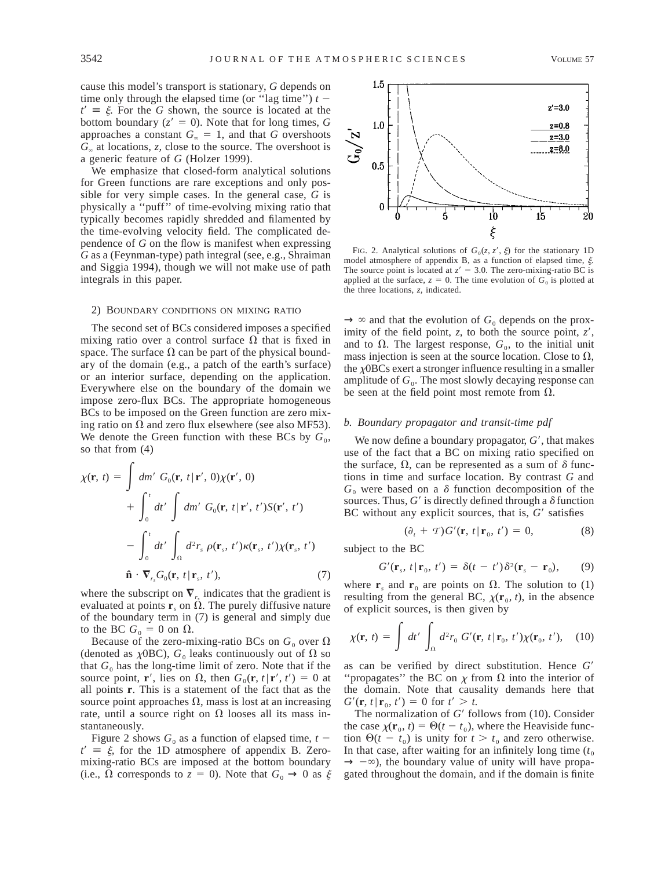cause this model's transport is stationary, *G* depends on time only through the elapsed time (or "lag time")  $t$  $t' \equiv \xi$ . For the *G* shown, the source is located at the bottom boundary  $(z' = 0)$ . Note that for long times, *G* approaches a constant  $G_{\infty} = 1$ , and that *G* overshoots *G*` at locations, *z,* close to the source. The overshoot is a generic feature of *G* (Holzer 1999).

We emphasize that closed-form analytical solutions for Green functions are rare exceptions and only possible for very simple cases. In the general case, *G* is physically a ''puff'' of time-evolving mixing ratio that typically becomes rapidly shredded and filamented by the time-evolving velocity field. The complicated dependence of *G* on the flow is manifest when expressing *G* as a (Feynman-type) path integral (see, e.g., Shraiman and Siggia 1994), though we will not make use of path integrals in this paper.

### 2) BOUNDARY CONDITIONS ON MIXING RATIO

The second set of BCs considered imposes a specified mixing ratio over a control surface  $\Omega$  that is fixed in space. The surface  $\Omega$  can be part of the physical boundary of the domain (e.g., a patch of the earth's surface) or an interior surface, depending on the application. Everywhere else on the boundary of the domain we impose zero-flux BCs. The appropriate homogeneous BCs to be imposed on the Green function are zero mixing ratio on  $\Omega$  and zero flux elsewhere (see also MF53). We denote the Green function with these BCs by  $G_0$ , so that from (4)

$$
\chi(\mathbf{r}, t) = \int dm' G_0(\mathbf{r}, t | \mathbf{r}', 0) \chi(\mathbf{r}', 0)
$$
  
+ 
$$
\int_0^t dt' \int dm' G_0(\mathbf{r}, t | \mathbf{r}', t') S(\mathbf{r}', t')
$$
  
- 
$$
\int_0^t dt' \int_{\Omega} d^2 r_s \rho(\mathbf{r}_s, t') \kappa(\mathbf{r}_s, t') \chi(\mathbf{r}_s, t')
$$
  

$$
\hat{\mathbf{n}} \cdot \nabla_{r_s} G_0(\mathbf{r}, t | \mathbf{r}_s, t'), \qquad (7)
$$

where the subscript on  $\nabla$ <sub>r</sub> indicates that the gradient is evaluated at points  $\mathbf{r}_s$  on  $\Omega$ . The purely diffusive nature of the boundary term in (7) is general and simply due to the BC  $G_0 = 0$  on  $\Omega$ .

Because of the zero-mixing-ratio BCs on  $G_0$  over  $\Omega$ (denoted as  $\chi$ OBC),  $G_0$  leaks continuously out of  $\Omega$  so that  $G_0$  has the long-time limit of zero. Note that if the source point, **r**', lies on  $\Omega$ , then  $G_0(\mathbf{r}, t | \mathbf{r}', t') = 0$  at all points **r**. This is a statement of the fact that as the source point approaches  $\Omega$ , mass is lost at an increasing rate, until a source right on  $\Omega$  looses all its mass instantaneously.

Figure 2 shows  $G_0$  as a function of elapsed time,  $t$  $t' \equiv \xi$ , for the 1D atmosphere of appendix B. Zeromixing-ratio BCs are imposed at the bottom boundary (i.e.,  $\Omega$  corresponds to  $z = 0$ ). Note that  $G_0 \rightarrow 0$  as  $\xi$ 



FIG. 2. Analytical solutions of  $G_0(z, z', \xi)$  for the stationary 1D model atmosphere of appendix B, as a function of elapsed time,  $\xi$ . The source point is located at  $z' = 3.0$ . The zero-mixing-ratio BC is applied at the surface,  $z = 0$ . The time evolution of  $G_0$  is plotted at the three locations, *z,* indicated.

 $\rightarrow \infty$  and that the evolution of  $G_0$  depends on the proximity of the field point,  $z$ , to both the source point,  $z'$ , and to  $\Omega$ . The largest response,  $G_0$ , to the initial unit mass injection is seen at the source location. Close to  $\Omega$ , the  $\chi$ OBCs exert a stronger influence resulting in a smaller amplitude of  $G_0$ . The most slowly decaying response can be seen at the field point most remote from  $\Omega$ .

## *b. Boundary propagator and transit-time pdf*

We now define a boundary propagator,  $G'$ , that makes use of the fact that a BC on mixing ratio specified on the surface,  $\Omega$ , can be represented as a sum of  $\delta$  functions in time and surface location. By contrast *G* and  $G_0$  were based on a  $\delta$  function decomposition of the sources. Thus,  $G'$  is directly defined through a  $\delta$  function BC without any explicit sources, that is,  $G'$  satisfies

$$
(\partial_t + T)G'(\mathbf{r}, t | \mathbf{r}_0, t') = 0,
$$
 (8)

subject to the BC

$$
G'(\mathbf{r}_s, t \,|\, \mathbf{r}_0, t') = \delta(t - t')\delta^2(\mathbf{r}_s - \mathbf{r}_0), \qquad (9)
$$

where  $\mathbf{r}_s$  and  $\mathbf{r}_0$  are points on  $\Omega$ . The solution to (1) resulting from the general BC,  $\chi(\mathbf{r}_0, t)$ , in the absence of explicit sources, is then given by

$$
\chi(\mathbf{r}, t) = \int dt' \int_{\Omega} d^2 r_0 G'(\mathbf{r}, t | \mathbf{r}_0, t') \chi(\mathbf{r}_0, t'), \quad (10)
$$

as can be verified by direct substitution. Hence G' "propagates" the BC on  $\chi$  from  $\Omega$  into the interior of the domain. Note that causality demands here that  $G'(\mathbf{r}, t | \mathbf{r}_0, t') = 0$  for  $t' > t$ .

The normalization of  $G'$  follows from  $(10)$ . Consider the case  $\chi(\mathbf{r}_0, t) = \Theta(t - t_0)$ , where the Heaviside function  $\Theta(t - t_0)$  is unity for  $t > t_0$  and zero otherwise. In that case, after waiting for an infinitely long time  $(t_0)$  $\rightarrow -\infty$ ), the boundary value of unity will have propagated throughout the domain, and if the domain is finite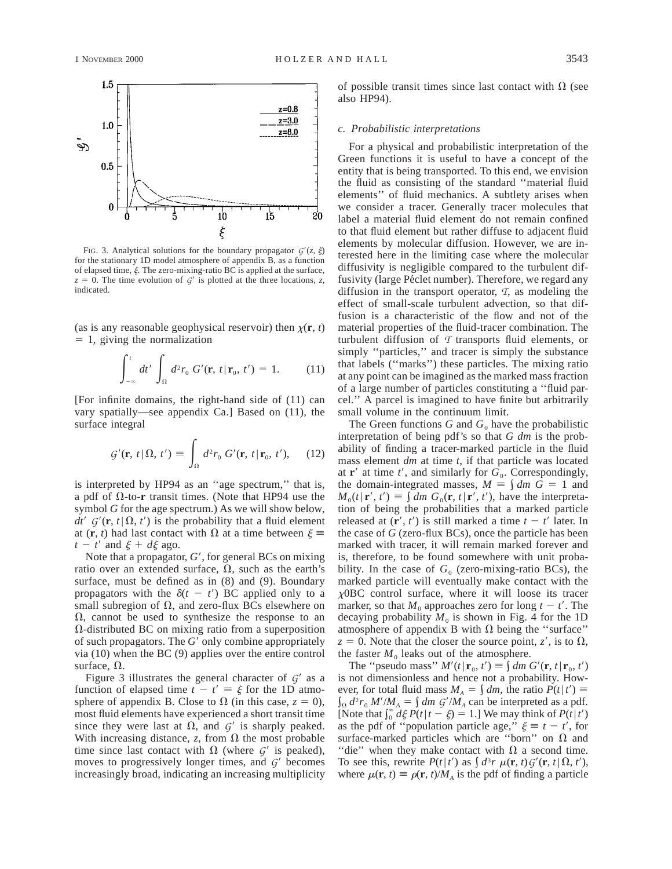

FIG. 3. Analytical solutions for the boundary propagator  $G'(z, \xi)$ for the stationary 1D model atmosphere of appendix B, as a function of elapsed time,  $\xi$ . The zero-mixing-ratio BC is applied at the surface,  $z = 0$ . The time evolution of  $G<sup>2</sup>$  is plotted at the three locations, *z*, indicated.

(as is any reasonable geophysical reservoir) then  $\chi(\mathbf{r}, t)$  $= 1$ , giving the normalization

$$
\int_{-\infty}^{t} dt' \int_{\Omega} d^2 r_0 G'(\mathbf{r}, t | \mathbf{r}_0, t') = 1.
$$
 (11)

[For infinite domains, the right-hand side of (11) can vary spatially—see appendix Ca.] Based on (11), the surface integral

$$
\mathcal{G}'(\mathbf{r}, t | \Omega, t') \equiv \int_{\Omega} d^2 r_0 \ G'(\mathbf{r}, t | \mathbf{r}_0, t'), \quad (12)
$$

is interpreted by HP94 as an "age spectrum," that is, a pdf of  $\Omega$ -to-**r** transit times. (Note that HP94 use the symbol *G* for the age spectrum.) As we will show below,  $dt'$  *G*<sup> $\prime$ </sup>(**r**, *t*| $\Omega$ , *t'*) is the probability that a fluid element at  $(\mathbf{r}, t)$  had last contact with  $\Omega$  at a time between  $\xi$  $t - t'$  and  $\xi + d\xi$  ago.

Note that a propagator, *G'*, for general BCs on mixing ratio over an extended surface,  $\Omega$ , such as the earth's surface, must be defined as in (8) and (9). Boundary propagators with the  $\delta(t - t')$  BC applied only to a small subregion of  $\Omega$ , and zero-flux BCs elsewhere on  $\Omega$ , cannot be used to synthesize the response to an  $\Omega$ -distributed BC on mixing ratio from a superposition of such propagators. The *G'* only combine appropriately via (10) when the BC (9) applies over the entire control surface,  $\Omega$ .

Figure 3 illustrates the general character of  $G'$  as a function of elapsed time  $t - t' \equiv \xi$  for the 1D atmosphere of appendix B. Close to  $\Omega$  (in this case,  $z = 0$ ), most fluid elements have experienced a short transit time since they were last at  $\Omega$ , and  $G'$  is sharply peaked. With increasing distance, *z*, from  $\Omega$  the most probable time since last contact with  $\Omega$  (where  $G'$  is peaked), moves to progressively longer times, and  $G'$  becomes increasingly broad, indicating an increasing multiplicity of possible transit times since last contact with  $\Omega$  (see also HP94).

### *c. Probabilistic interpretations*

For a physical and probabilistic interpretation of the Green functions it is useful to have a concept of the entity that is being transported. To this end, we envision the fluid as consisting of the standard ''material fluid elements'' of fluid mechanics. A subtlety arises when we consider a tracer. Generally tracer molecules that label a material fluid element do not remain confined to that fluid element but rather diffuse to adjacent fluid elements by molecular diffusion. However, we are interested here in the limiting case where the molecular diffusivity is negligible compared to the turbulent diffusivity (large Péclet number). Therefore, we regard any diffusion in the transport operator, *T*, as modeling the effect of small-scale turbulent advection, so that diffusion is a characteristic of the flow and not of the material properties of the fluid-tracer combination. The turbulent diffusion of *T* transports fluid elements, or simply ''particles,'' and tracer is simply the substance that labels (''marks'') these particles. The mixing ratio at any point can be imagined as the marked mass fraction of a large number of particles constituting a ''fluid parcel.'' A parcel is imagined to have finite but arbitrarily small volume in the continuum limit.

The Green functions  $G$  and  $G_0$  have the probabilistic interpretation of being pdf's so that *G dm* is the probability of finding a tracer-marked particle in the fluid mass element *dm* at time *t,* if that particle was located at  $\mathbf{r}'$  at time  $t'$ , and similarly for  $G_0$ . Correspondingly, the domain-integrated masses,  $M \equiv \int dm G = 1$  and  $M_0(t | \mathbf{r}', t') \equiv \int dm G_0(\mathbf{r}, t | \mathbf{r}', t')$ , have the interpretation of being the probabilities that a marked particle released at  $(\mathbf{r}', t')$  is still marked a time  $t - t'$  later. In the case of *G* (zero-flux BCs), once the particle has been marked with tracer, it will remain marked forever and is, therefore, to be found somewhere with unit probability. In the case of  $G_0$  (zero-mixing-ratio BCs), the marked particle will eventually make contact with the <sup>x</sup>0BC control surface, where it will loose its tracer marker, so that  $M_0$  approaches zero for long  $t - t'$ . The decaying probability  $M_0$  is shown in Fig. 4 for the 1D atmosphere of appendix B with  $\Omega$  being the "surface"  $z = 0$ . Note that the closer the source point, *z'*, is to  $\Omega$ , the faster  $M_0$  leaks out of the atmosphere.

The "pseudo mass"  $M'(t | \mathbf{r}_0, t') \equiv \int dm G'(\mathbf{r}, t | \mathbf{r}_0, t')$ is not dimensionless and hence not a probability. However, for total fluid mass  $M_A = \int dm$ , the ratio  $P(t | t') \equiv$  $\int_{\Omega} d^2r_0 M'/M_A = \int dm G'/M_A$  can be interpreted as a pdf. [Note that  $\int_0^{\infty} d\xi P(t | t - \xi) = 1$ .] We may think of  $P(t | t')$ as the pdf of "population particle age,"  $\xi \equiv t - t'$ , for surface-marked particles which are "born" on  $\Omega$  and "die" when they make contact with  $\Omega$  a second time. To see this, rewrite  $P(t|t')$  as  $\int d^3r \mu(\mathbf{r}, t) G'(\mathbf{r}, t | \Omega, t'),$ where  $\mu(\mathbf{r}, t) \equiv \rho(\mathbf{r}, t)/M_A$  is the pdf of finding a particle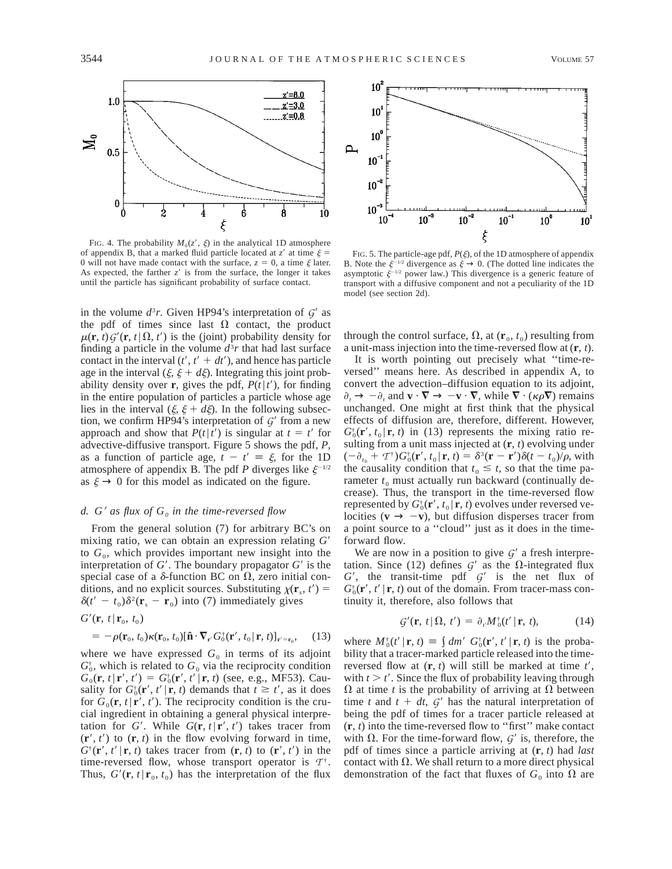

FIG. 4. The probability  $M_0(z', \xi)$  in the analytical 1D atmosphere of appendix B, that a marked fluid particle located at  $z'$  at time  $\xi =$ 0 will not have made contact with the surface,  $z = 0$ , a time  $\xi$  later. As expected, the farther  $z'$  is from the surface, the longer it takes until the particle has significant probability of surface contact.

in the volume  $d^3r$ . Given HP94's interpretation of  $G'$  as the pdf of times since last  $\Omega$  contact, the product  $\mu(\mathbf{r}, t) G'(\mathbf{r}, t | \Omega, t')$  is the (joint) probability density for finding a particle in the volume  $d^3r$  that had last surface contact in the interval  $(t', t' + dt')$ , and hence has particle age in the interval  $(\xi, \xi + d\xi)$ . Integrating this joint probability density over **r**, gives the pdf,  $P(t|t')$ , for finding in the entire population of particles a particle whose age lies in the interval  $(\xi, \xi + d\xi)$ . In the following subsection, we confirm HP94's interpretation of  $G'$  from a new approach and show that  $P(t|t')$  is singular at  $t = t'$  for advective-diffusive transport. Figure 5 shows the pdf, *P,* as a function of particle age,  $t - t' \equiv \xi$ , for the 1D atmosphere of appendix B. The pdf *P* diverges like  $\xi^{-1/2}$ as  $\xi \rightarrow 0$  for this model as indicated on the figure.

### *d.*  $G'$  *as flux of*  $G_0$  *in the time-reversed flow*

From the general solution (7) for arbitrary BC's on mixing ratio, we can obtain an expression relating  $G'$ to  $G_0$ , which provides important new insight into the interpretation of  $G'$ . The boundary propagator  $G'$  is the special case of a  $\delta$ -function BC on  $\Omega$ , zero initial conditions, and no explicit sources. Substituting  $\chi(\mathbf{r}_s, t')$  =  $\delta(t'-t_0)\delta^2(\mathbf{r}_s-\mathbf{r}_0)$  into (7) immediately gives

$$
G'(\mathbf{r}, t | \mathbf{r}_0, t_0)
$$
  
=  $-\rho(\mathbf{r}_0, t_0) \kappa(\mathbf{r}_0, t_0) [\mathbf{\hat{n}} \cdot \nabla_{\mathbf{r}} G_0^{\dagger}(\mathbf{r}', t_0 | \mathbf{r}, t)]_{\mathbf{r}' = \mathbf{r}_0}$ , (13)

where we have expressed  $G_0$  in terms of its adjoint  $G_0^*$ , which is related to  $G_0$  via the reciprocity condition  $G_0(\mathbf{r}, t | \mathbf{r}', t') = G_0^{\dagger}(\mathbf{r}', t' | \mathbf{r}, t)$  (see, e.g., MF53). Causality for  $G_0^{\dagger}(\mathbf{r}', t' | \mathbf{r}, t)$  demands that  $t \geq t'$ , as it does for  $G_0(\mathbf{r}, t | \mathbf{r}', t')$ . The reciprocity condition is the crucial ingredient in obtaining a general physical interpretation for *G'*. While  $G(\mathbf{r}, t | \mathbf{r}', t')$  takes tracer from  $(\mathbf{r}', t')$  to  $(\mathbf{r}, t)$  in the flow evolving forward in time,  $G^{\dagger}(\mathbf{r}', t' | \mathbf{r}, t)$  takes tracer from  $(\mathbf{r}, t)$  to  $(\mathbf{r}', t')$  in the time-reversed flow, whose transport operator is  $T^{\dagger}$ . Thus,  $G'(\mathbf{r}, t | \mathbf{r}_0, t_0)$  has the interpretation of the flux



FIG. 5. The particle-age pdf,  $P(\xi)$ , of the 1D atmosphere of appendix B. Note the  $\xi^{-1/2}$  divergence as  $\xi \to 0$ . (The dotted line indicates the asymptotic  $\xi^{-1/2}$  power law.) This divergence is a generic feature of transport with a diffusive component and not a peculiarity of the 1D model (see section 2d).

through the control surface,  $\Omega$ , at  $(\mathbf{r}_0, t_0)$  resulting from a unit-mass injection into the time-reversed flow at (**r**, *t*).

It is worth pointing out precisely what ''time-reversed'' means here. As described in appendix A, to convert the advection–diffusion equation to its adjoint,  $\partial_t \to -\partial_t$  and  $\mathbf{v} \cdot \nabla \to -\mathbf{v} \cdot \nabla$ , while  $\nabla \cdot (\kappa \rho \nabla)$  remains unchanged. One might at first think that the physical effects of diffusion are, therefore, different. However,  $G_0^*(\mathbf{r}', t_0 | \mathbf{r}, t)$  in (13) represents the mixing ratio resulting from a unit mass injected at (**r**, *t*) evolving under  $(-\partial_{t_0} + T^{\dagger}) G_0^{\dagger}(\mathbf{r}', t_0 | \mathbf{r}, t) = \delta^3(\mathbf{r} - \mathbf{r}') \delta(t - t_0) / \rho$ , with the causality condition that  $t_0 \leq t$ , so that the time parameter  $t_0$  must actually run backward (continually decrease). Thus, the transport in the time-reversed flow represented by  $G_0^*(\mathbf{r}', t_0 | \mathbf{r}, t)$  evolves under reversed velocities ( $\mathbf{v} \rightarrow -\mathbf{v}$ ), but diffusion disperses tracer from a point source to a ''cloud'' just as it does in the timeforward flow.

We are now in a position to give  $G'$  a fresh interpretation. Since (12) defines  $G'$  as the  $\Omega$ -integrated flux  $G'$ , the transit-time pdf  $G'$  is the net flux of  $G_0^{\dagger}(\mathbf{r}', t' | \mathbf{r}, t)$  out of the domain. From tracer-mass continuity it, therefore, also follows that

$$
\mathcal{G}'(\mathbf{r}, t | \Omega, t') = \partial_{t'} M_0^{\dagger}(t' | \mathbf{r}, t), \qquad (14)
$$

where  $M_0^{\dagger}(t' | \mathbf{r}, t) \equiv \int dm' G_0^{\dagger}(\mathbf{r}', t' | \mathbf{r}, t)$  is the probability that a tracer-marked particle released into the timereversed flow at  $(r, t)$  will still be marked at time  $t'$ , with  $t > t'$ . Since the flux of probability leaving through  $\Omega$  at time *t* is the probability of arriving at  $\Omega$  between time *t* and  $t + dt$ ,  $G'$  has the natural interpretation of being the pdf of times for a tracer particle released at (**r**, *t*) into the time-reversed flow to ''first'' make contact with  $\Omega$ . For the time-forward flow,  $G'$  is, therefore, the pdf of times since a particle arriving at (**r**, *t*) had *last* contact with  $\Omega$ . We shall return to a more direct physical demonstration of the fact that fluxes of  $G_0$  into  $\Omega$  are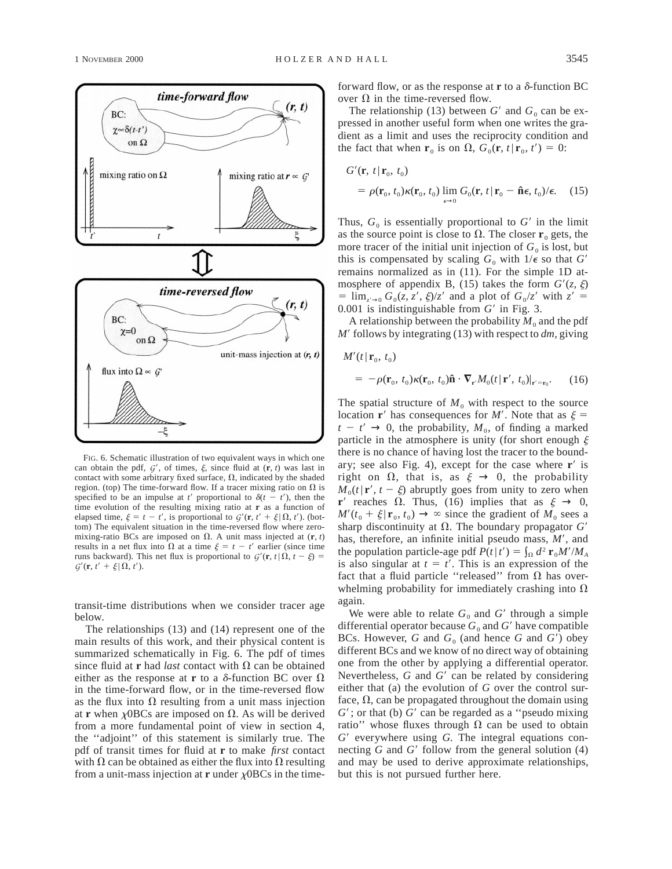

FIG. 6. Schematic illustration of two equivalent ways in which one can obtain the pdf,  $G'$ , of times,  $\xi$ , since fluid at  $(\mathbf{r}, t)$  was last in contact with some arbitrary fixed surface,  $\Omega$ , indicated by the shaded region. (top) The time-forward flow. If a tracer mixing ratio on  $\Omega$  is specified to be an impulse at *t'* proportional to  $\delta(t - t')$ , then the time evolution of the resulting mixing ratio at **r** as a function of elapsed time,  $\xi = t - t'$ , is proportional to  $G'(\mathbf{r}, t' + \xi | \Omega, t')$ . (bottom) The equivalent situation in the time-reversed flow where zeromixing-ratio BCs are imposed on  $\Omega$ . A unit mass injected at  $(\mathbf{r}, t)$ results in a net flux into  $\Omega$  at a time  $\xi = t - t'$  earlier (since time runs backward). This net flux is proportional to  $G'(\mathbf{r}, t | \Omega, t - \xi)$  $G'(\mathbf{r}, t' + \xi | \Omega, t').$ 

transit-time distributions when we consider tracer age below.

The relationships (13) and (14) represent one of the main results of this work, and their physical content is summarized schematically in Fig. 6. The pdf of times since fluid at **r** had *last* contact with  $\Omega$  can be obtained either as the response at **r** to a  $\delta$ -function BC over  $\Omega$ in the time-forward flow, or in the time-reversed flow as the flux into  $\Omega$  resulting from a unit mass injection at **r** when  $\chi$ OBCs are imposed on  $\Omega$ . As will be derived from a more fundamental point of view in section 4, the ''adjoint'' of this statement is similarly true. The pdf of transit times for fluid at **r** to make *first* contact with  $\Omega$  can be obtained as either the flux into  $\Omega$  resulting from a unit-mass injection at **r** under  $\chi$ OBCs in the timeforward flow, or as the response at **r** to a  $\delta$ -function BC over  $\Omega$  in the time-reversed flow.

The relationship (13) between  $G'$  and  $G_0$  can be expressed in another useful form when one writes the gradient as a limit and uses the reciprocity condition and the fact that when  $\mathbf{r}_0$  is on  $\Omega$ ,  $G_0(\mathbf{r}, t | \mathbf{r}_0, t') = 0$ :

$$
G'(\mathbf{r}, t | \mathbf{r}_0, t_0)
$$
  
=  $\rho(\mathbf{r}_0, t_0) \kappa(\mathbf{r}_0, t_0) \lim_{\epsilon \to 0} G_0(\mathbf{r}, t | \mathbf{r}_0 - \hat{\mathbf{n}} \epsilon, t_0) / \epsilon.$  (15)

Thus,  $G_0$  is essentially proportional to  $G'$  in the limit as the source point is close to  $\Omega$ . The closer **r**<sub>0</sub> gets, the more tracer of the initial unit injection of  $G_0$  is lost, but this is compensated by scaling  $G_0$  with  $1/\epsilon$  so that  $G'$ remains normalized as in (11). For the simple 1D atmosphere of appendix B, (15) takes the form  $G'(z, \xi)$  $=$  lim<sub> $z' \to 0$ </sub>  $G_0(z, z', \xi)/z'$  and a plot of  $G_0/z'$  with  $z' =$  $0.001$  is indistinguishable from  $G'$  in Fig. 3.

A relationship between the probability  $M_0$  and the pdf  $M'$  follows by integrating (13) with respect to  $dm$ , giving

$$
M'(t \,|\, \mathbf{r}_0, t_0)
$$

$$
= -\rho(\mathbf{r}_0, t_0)\kappa(\mathbf{r}_0, t_0)\hat{\mathbf{n}} \cdot \nabla_{\mathbf{r}'}M_0(t|\mathbf{r}', t_0)|_{\mathbf{r}'=\mathbf{r}_0}.\tag{16}
$$

The spatial structure of  $M_0$  with respect to the source location **r**<sup> $\prime$ </sup> has consequences for *M*<sup> $\prime$ </sup>. Note that as  $\xi$  =  $t - t' \rightarrow 0$ , the probability,  $M_0$ , of finding a marked particle in the atmosphere is unity (for short enough  $\xi$ there is no chance of having lost the tracer to the boundary; see also Fig. 4), except for the case where **r**<sup> $\prime$ </sup> is right on  $\Omega$ , that is, as  $\xi \to 0$ , the probability  $M_0(t|\mathbf{r}', t - \xi)$  abruptly goes from unity to zero when **r**<sup> $\prime$ </sup> reaches  $\Omega$ . Thus, (16) implies that as  $\xi \rightarrow 0$ ,  $M'(t_0 + \xi | \mathbf{r}_0, t_0) \rightarrow \infty$  since the gradient of  $M_0$  sees a sharp discontinuity at  $\Omega$ . The boundary propagator  $G'$ has, therefore, an infinite initial pseudo mass, M', and the population particle-age pdf  $P(t | t') = \int_{\Omega} d^2 \mathbf{r}_0 M'/M_A$ is also singular at  $t = t'$ . This is an expression of the fact that a fluid particle "released" from  $\Omega$  has overwhelming probability for immediately crashing into  $\Omega$ again.

We were able to relate  $G_0$  and  $G'$  through a simple differential operator because  $G_0$  and  $G'$  have compatible BCs. However,  $G$  and  $G_0$  (and hence  $G$  and  $G'$ ) obey different BCs and we know of no direct way of obtaining one from the other by applying a differential operator. Nevertheless, *G* and *G'* can be related by considering either that (a) the evolution of *G* over the control surface,  $\Omega$ , can be propagated throughout the domain using  $G'$ ; or that (b)  $G'$  can be regarded as a "pseudo mixing ratio" whose fluxes through  $\Omega$  can be used to obtain *G*9 everywhere using *G.* The integral equations connecting  $G$  and  $G'$  follow from the general solution  $(4)$ and may be used to derive approximate relationships, but this is not pursued further here.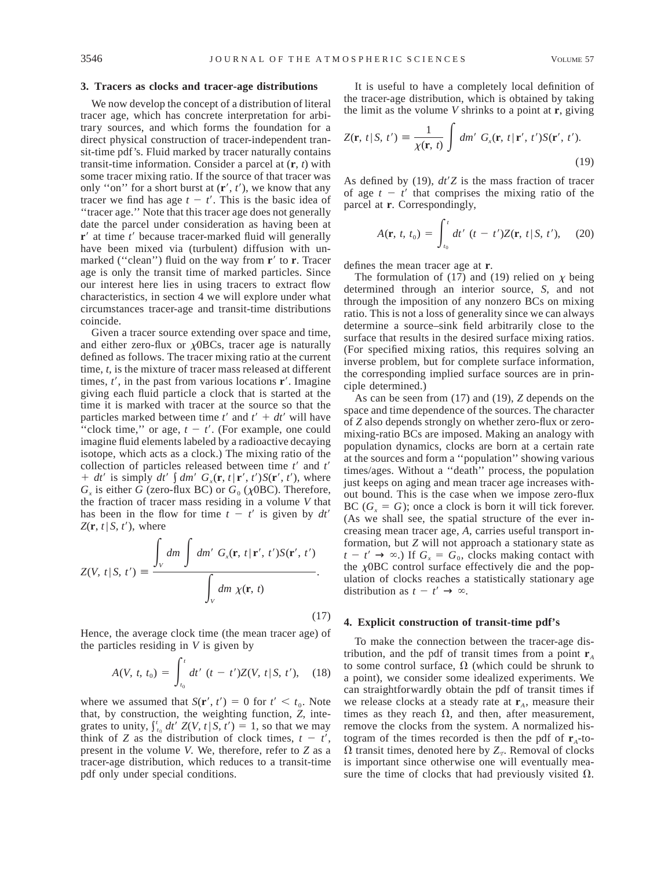### **3. Tracers as clocks and tracer-age distributions**

We now develop the concept of a distribution of literal tracer age, which has concrete interpretation for arbitrary sources, and which forms the foundation for a direct physical construction of tracer-independent transit-time pdf's. Fluid marked by tracer naturally contains transit-time information. Consider a parcel at (**r**, *t*) with some tracer mixing ratio. If the source of that tracer was only "on" for a short burst at  $(\mathbf{r}', t')$ , we know that any tracer we find has age  $t - t'$ . This is the basic idea of ''tracer age.'' Note that this tracer age does not generally date the parcel under consideration as having been at **r**<sup> $\prime$ </sup> at time *t*<sup> $\prime$ </sup> because tracer-marked fluid will generally have been mixed via (turbulent) diffusion with unmarked ("clean") fluid on the way from **r**' to **r**. Tracer age is only the transit time of marked particles. Since our interest here lies in using tracers to extract flow characteristics, in section 4 we will explore under what circumstances tracer-age and transit-time distributions coincide.

Given a tracer source extending over space and time, and either zero-flux or  $\chi$ OBCs, tracer age is naturally defined as follows. The tracer mixing ratio at the current time, *t,* is the mixture of tracer mass released at different times,  $t'$ , in the past from various locations  $\mathbf{r}'$ . Imagine giving each fluid particle a clock that is started at the time it is marked with tracer at the source so that the particles marked between time  $t'$  and  $t' + dt'$  will have "clock time," or age,  $t - t'$ . (For example, one could imagine fluid elements labeled by a radioactive decaying isotope, which acts as a clock.) The mixing ratio of the collection of particles released between time *t'* and *t'* +  $dt'$  is simply  $dt' \int dm' G_x(\mathbf{r}, t | \mathbf{r}', t') S(\mathbf{r}', t')$ , where  $G_x$  is either *G* (zero-flux BC) or  $G_0$  ( $\chi$ 0BC). Therefore, the fraction of tracer mass residing in a volume *V* that has been in the flow for time  $t - t'$  is given by  $dt'$  $Z(\mathbf{r}, t | S, t')$ , where

$$
Z(V, t | S, t') \equiv \frac{\int_{V} dm \int dm' G_{x}(\mathbf{r}, t | \mathbf{r}', t') S(\mathbf{r}', t')}{\int_{V} dm \chi(\mathbf{r}, t)}.
$$
\n(17)

Hence, the average clock time (the mean tracer age) of the particles residing in *V* is given by

$$
A(V, t, t_0) = \int_{t_0}^t dt' \ (t - t')Z(V, t | S, t'), \quad (18)
$$

where we assumed that  $S(\mathbf{r}', t') = 0$  for  $t' < t_0$ . Note that, by construction, the weighting function, *Z,* integrates to unity,  $\int_{t_0}^{t} dt' Z(V, t | S, t') = 1$ , so that we may think of *Z* as the distribution of clock times,  $t - t'$ , present in the volume *V.* We, therefore, refer to *Z* as a tracer-age distribution, which reduces to a transit-time pdf only under special conditions.

It is useful to have a completely local definition of the tracer-age distribution, which is obtained by taking the limit as the volume *V* shrinks to a point at **r**, giving

$$
Z(\mathbf{r}, t | S, t') \equiv \frac{1}{\chi(\mathbf{r}, t)} \int dm' G_x(\mathbf{r}, t | \mathbf{r}', t') S(\mathbf{r}', t').
$$
\n(19)

As defined by (19),  $dt'Z$  is the mass fraction of tracer of age  $t - t'$  that comprises the mixing ratio of the parcel at **r**. Correspondingly,

$$
A(\mathbf{r}, t, t_0) = \int_{t_0}^t dt' \ (t - t') Z(\mathbf{r}, t | S, t'), \quad (20)
$$

defines the mean tracer age at **r**.

The formulation of (17) and (19) relied on  $\chi$  being determined through an interior source, *S,* and not through the imposition of any nonzero BCs on mixing ratio. This is not a loss of generality since we can always determine a source–sink field arbitrarily close to the surface that results in the desired surface mixing ratios. (For specified mixing ratios, this requires solving an inverse problem, but for complete surface information, the corresponding implied surface sources are in principle determined.)

As can be seen from (17) and (19), *Z* depends on the space and time dependence of the sources. The character of *Z* also depends strongly on whether zero-flux or zeromixing-ratio BCs are imposed. Making an analogy with population dynamics, clocks are born at a certain rate at the sources and form a ''population'' showing various times/ages. Without a ''death'' process, the population just keeps on aging and mean tracer age increases without bound. This is the case when we impose zero-flux BC ( $G_x = G$ ); once a clock is born it will tick forever. (As we shall see, the spatial structure of the ever increasing mean tracer age, *A,* carries useful transport information, but *Z* will not approach a stationary state as  $t - t' \rightarrow \infty$ .) If  $G_x = G_0$ , clocks making contact with the  $\chi$ OBC control surface effectively die and the population of clocks reaches a statistically stationary age distribution as  $t - t' \rightarrow \infty$ .

### **4. Explicit construction of transit-time pdf's**

To make the connection between the tracer-age distribution, and the pdf of transit times from a point  $\mathbf{r}_4$ to some control surface,  $\Omega$  (which could be shrunk to a point), we consider some idealized experiments. We can straightforwardly obtain the pdf of transit times if we release clocks at a steady rate at  $\mathbf{r}_A$ , measure their times as they reach  $\Omega$ , and then, after measurement, remove the clocks from the system. A normalized histogram of the times recorded is then the pdf of  $\mathbf{r}_A$ -to- $\Omega$  transit times, denoted here by  $Z_{\tau}$ . Removal of clocks is important since otherwise one will eventually measure the time of clocks that had previously visited  $\Omega$ .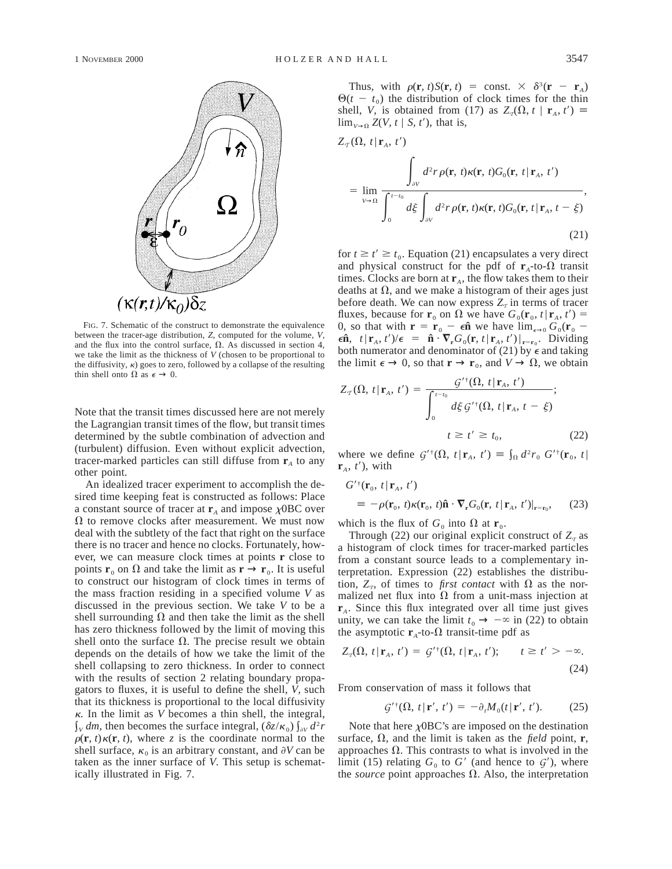

FIG. 7. Schematic of the construct to demonstrate the equivalence between the tracer-age distribution, *Z,* computed for the volume, *V,* and the flux into the control surface,  $\Omega$ . As discussed in section 4, we take the limit as the thickness of *V* (chosen to be proportional to the diffusivity,  $\kappa$ ) goes to zero, followed by a collapse of the resulting thin shell onto  $\Omega$  as  $\epsilon \to 0$ .

Note that the transit times discussed here are not merely the Lagrangian transit times of the flow, but transit times determined by the subtle combination of advection and (turbulent) diffusion. Even without explicit advection, tracer-marked particles can still diffuse from  $\mathbf{r}_A$  to any other point.

An idealized tracer experiment to accomplish the desired time keeping feat is constructed as follows: Place a constant source of tracer at  $\mathbf{r}_A$  and impose  $\chi$ OBC over  $\Omega$  to remove clocks after measurement. We must now deal with the subtlety of the fact that right on the surface there is no tracer and hence no clocks. Fortunately, however, we can measure clock times at points **r** close to points **r**<sub>0</sub> on  $\Omega$  and take the limit as **r**  $\rightarrow$  **r**<sub>0</sub>. It is useful to construct our histogram of clock times in terms of the mass fraction residing in a specified volume *V* as discussed in the previous section. We take *V* to be a shell surrounding  $\Omega$  and then take the limit as the shell has zero thickness followed by the limit of moving this shell onto the surface  $\Omega$ . The precise result we obtain depends on the details of how we take the limit of the shell collapsing to zero thickness. In order to connect with the results of section 2 relating boundary propagators to fluxes, it is useful to define the shell, *V,* such that its thickness is proportional to the local diffusivity  $\kappa$ . In the limit as *V* becomes a thin shell, the integral,  $\int_{V} dm$ , then becomes the surface integral,  $(\delta z/\kappa_0) \int_{\partial V} d^2r$  $\rho(\mathbf{r}, t) \kappa(\mathbf{r}, t)$ , where *z* is the coordinate normal to the shell surface,  $\kappa_0$  is an arbitrary constant, and  $\partial V$  can be taken as the inner surface of *V.* This setup is schematically illustrated in Fig. 7.

Thus, with  $\rho(\mathbf{r}, t)S(\mathbf{r}, t) = \text{const.} \times \delta^3(\mathbf{r} - \mathbf{r}_A)$  $\Theta(t - t_0)$  the distribution of clock times for the thin shell, *V*, is obtained from (17) as  $Z_q(\Omega, t \mid \mathbf{r}_A, t') \equiv$  $\lim_{V\to 0} Z(V, t \mid S, t')$ , that is,

$$
Z_{\mathcal{T}}(\Omega, t | \mathbf{r}_{A}, t')
$$
  
= 
$$
\lim_{V \to \Omega} \frac{\int_{\partial V} d^{2}r \rho(\mathbf{r}, t) \kappa(\mathbf{r}, t) G_{0}(\mathbf{r}, t | \mathbf{r}_{A}, t')}{\int_{0}^{t-t_{0}} d\xi \int_{\partial V} d^{2}r \rho(\mathbf{r}, t) \kappa(\mathbf{r}, t) G_{0}(\mathbf{r}, t | \mathbf{r}_{A}, t - \xi)}
$$
, (21)

for  $t \ge t' \ge t_0$ . Equation (21) encapsulates a very direct and physical construct for the pdf of  $\mathbf{r}_A$ -to- $\Omega$  transit times. Clocks are born at  $\mathbf{r}_A$ , the flow takes them to their deaths at  $\Omega$ , and we make a histogram of their ages just before death. We can now express  $Z_{\tau}$  in terms of tracer fluxes, because for  $\mathbf{r}_0$  on  $\Omega$  we have  $G_0(\mathbf{r}_0, t | \mathbf{r}_A, t') =$ 0, so that with  $\mathbf{r} = \mathbf{r}_0 - \epsilon \hat{\mathbf{n}}$  we have  $\lim_{\epsilon \to 0} G_0(\mathbf{r}_0 - \mathbf{r})$  $\epsilon \hat{\mathbf{n}}$ ,  $t | \mathbf{r}_A, t'|/\epsilon = \hat{\mathbf{n}} \cdot \nabla_{\mathbf{r}} G_0(\mathbf{r}, t | \mathbf{r}_A, t')|_{\mathbf{r} = \mathbf{r}_0}$ . Dividing both numerator and denominator of (21) by  $\epsilon$  and taking the limit  $\epsilon \to 0$ , so that  $\mathbf{r} \to \mathbf{r}_0$ , and  $V \to \Omega$ , we obtain

$$
Z_{\tau}(\Omega, t | \mathbf{r}_{A}, t') = \frac{\mathcal{G}^{'\dagger}(\Omega, t | \mathbf{r}_{A}, t')}{\int_{0}^{t-t_{0}} d\xi \mathcal{G}^{'\dagger}(\Omega, t | \mathbf{r}_{A}, t - \xi)};
$$
  

$$
t \ge t' \ge t_{0}, \qquad (22)
$$

where we define  $G'(\Omega, t | \mathbf{r}_A, t') \equiv \int_{\Omega} d^2 r_0 G'(\mathbf{r}_0, t)$  $\mathbf{r}_{4}$ ,  $t'$ ), with

$$
G^{\prime \dagger}(\mathbf{r}_0, t | \mathbf{r}_A, t^{\prime})
$$
  
\n
$$
\equiv -\rho(\mathbf{r}_0, t)\kappa(\mathbf{r}_0, t)\hat{\mathbf{n}} \cdot \nabla_{\mathbf{r}} G_0(\mathbf{r}, t | \mathbf{r}_A, t^{\prime})|_{\mathbf{r}=\mathbf{r}_0}, \quad (23)
$$

which is the flux of  $G_0$  into  $\Omega$  at  $\mathbf{r}_0$ .

Through (22) our original explicit construct of  $Z<sub>T</sub>$  as a histogram of clock times for tracer-marked particles from a constant source leads to a complementary interpretation. Expression (22) establishes the distribution,  $Z_T$ , of times to *first contact* with  $\Omega$  as the normalized net flux into  $\Omega$  from a unit-mass injection at **r***A*. Since this flux integrated over all time just gives unity, we can take the limit  $t_0 \rightarrow -\infty$  in (22) to obtain the asymptotic  $\mathbf{r}_A$ -to- $\Omega$  transit-time pdf as

$$
Z_q(\Omega, t | \mathbf{r}_A, t') = \mathcal{G}'^{\dagger}(\Omega, t | \mathbf{r}_A, t'); \qquad t \ge t' > -\infty.
$$
\n(24)

From conservation of mass it follows that

$$
\mathcal{G}'^{\dagger}(\Omega, t | \mathbf{r}', t') = -\partial_t M_0(t | \mathbf{r}', t'). \tag{25}
$$

Note that here  $\chi$ OBC's are imposed on the destination surface,  $\Omega$ , and the limit is taken as the *field* point, **r**, approaches  $\Omega$ . This contrasts to what is involved in the limit (15) relating  $G_0$  to  $G'$  (and hence to  $G'$ ), where the *source* point approaches  $\Omega$ . Also, the interpretation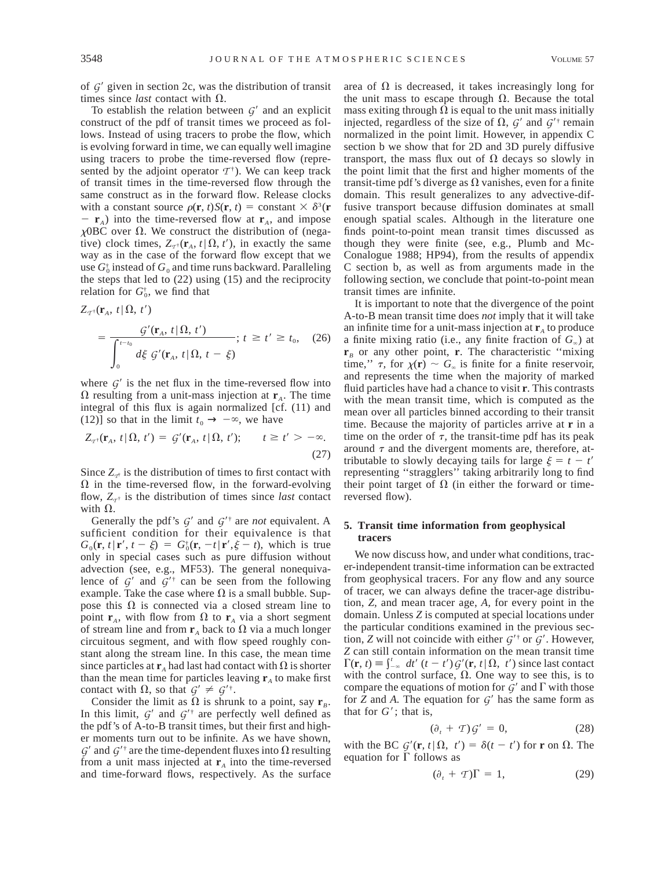of  $G'$  given in section 2c, was the distribution of transit times since *last* contact with  $\Omega$ .

To establish the relation between  $G'$  and an explicit construct of the pdf of transit times we proceed as follows. Instead of using tracers to probe the flow, which is evolving forward in time, we can equally well imagine using tracers to probe the time-reversed flow (represented by the adjoint operator  $T^{\dagger}$ ). We can keep track of transit times in the time-reversed flow through the same construct as in the forward flow. Release clocks with a constant source  $\rho(\mathbf{r}, t)S(\mathbf{r}, t) = \text{constant} \times \delta^3(\mathbf{r})$  $-$  **r**<sub>*A*</sub>) into the time-reversed flow at **r**<sub>*A*</sub>, and impose  $\chi$ OBC over  $\Omega$ . We construct the distribution of (negative) clock times,  $Z_{T^{\dagger}}(\mathbf{r}_A, t | \Omega, t')$ , in exactly the same way as in the case of the forward flow except that we use  $G_0^{\dagger}$  instead of  $G_0$  and time runs backward. Paralleling the steps that led to (22) using (15) and the reciprocity relation for  $G_0^*$ , we find that

$$
Z_{\tau^{\dagger}}(\mathbf{r}_{A}, t | \Omega, t')
$$
  
= 
$$
\frac{\mathcal{G}'(\mathbf{r}_{A}, t | \Omega, t')}{\int_{0}^{t-t_{0}} d\xi \mathcal{G}'(\mathbf{r}_{A}, t | \Omega, t - \xi)}; t \geq t' \geq t_{0}, \quad (26)
$$

where  $G'$  is the net flux in the time-reversed flow into  $\Omega$  resulting from a unit-mass injection at  $\mathbf{r}_A$ . The time integral of this flux is again normalized [cf. (11) and (12)] so that in the limit  $t_0 \rightarrow -\infty$ , we have

$$
Z_{\tau^{\dagger}}(\mathbf{r}_{A}, t | \Omega, t') = G'(\mathbf{r}_{A}, t | \Omega, t'); \qquad t \geq t' > -\infty.
$$
\n(27)

Since  $Z_{\tau i}$  is the distribution of times to first contact with  $\Omega$  in the time-reversed flow, in the forward-evolving flow,  $Z_{\tau^{\dagger}}$  is the distribution of times since *last* contact with  $\Omega$ .

Generally the pdf's  $G'$  and  $G'^{\dagger}$  are *not* equivalent. A sufficient condition for their equivalence is that  $G_0(\mathbf{r}, t | \mathbf{r}', t - \xi) = G_0^{\dagger}(\mathbf{r}, -t | \mathbf{r}', \xi - t)$ , which is true only in special cases such as pure diffusion without advection (see, e.g., MF53). The general nonequivalence of  $G'$  and  $G'^{\dagger}$  can be seen from the following example. Take the case where  $\Omega$  is a small bubble. Suppose this  $\Omega$  is connected via a closed stream line to point  $\mathbf{r}_A$ , with flow from  $\Omega$  to  $\mathbf{r}_A$  via a short segment of stream line and from  $\mathbf{r}_A$  back to  $\Omega$  via a much longer circuitous segment, and with flow speed roughly constant along the stream line. In this case, the mean time since particles at  $\mathbf{r}_A$  had last had contact with  $\Omega$  is shorter than the mean time for particles leaving  $\mathbf{r}_A$  to make first contact with  $\Omega$ , so that  $\mathcal{G}' \neq \mathcal{G}'^{\dagger}$ .

Consider the limit as  $\Omega$  is shrunk to a point, say  $\mathbf{r}_B$ . In this limit,  $G'$  and  $G'^{\dagger}$  are perfectly well defined as the pdf's of A-to-B transit times, but their first and higher moments turn out to be infinite. As we have shown,  $G'$  and  $G'$ <sup>†</sup> are the time-dependent fluxes into  $\Omega$  resulting from a unit mass injected at  $\mathbf{r}_A$  into the time-reversed and time-forward flows, respectively. As the surface area of  $\Omega$  is decreased, it takes increasingly long for the unit mass to escape through  $\Omega$ . Because the total mass exiting through  $\Omega$  is equal to the unit mass initially injected, regardless of the size of  $\Omega$ ,  $G'$  and  $G'^{\dagger}$  remain normalized in the point limit. However, in appendix C section b we show that for 2D and 3D purely diffusive transport, the mass flux out of  $\Omega$  decays so slowly in the point limit that the first and higher moments of the transit-time pdf's diverge as  $\Omega$  vanishes, even for a finite domain. This result generalizes to any advective-diffusive transport because diffusion dominates at small enough spatial scales. Although in the literature one finds point-to-point mean transit times discussed as though they were finite (see, e.g., Plumb and Mc-Conalogue 1988; HP94), from the results of appendix C section b, as well as from arguments made in the following section, we conclude that point-to-point mean transit times are infinite.

It is important to note that the divergence of the point A-to-B mean transit time does *not* imply that it will take an infinite time for a unit-mass injection at  $\mathbf{r}_A$  to produce a finite mixing ratio (i.e., any finite fraction of  $G_{\infty}$ ) at  $\mathbf{r}_B$  or any other point, **r**. The characteristic "mixing" time,"  $\tau$ , for  $\chi(\mathbf{r}) \sim G_{\infty}$  is finite for a finite reservoir, and represents the time when the majority of marked fluid particles have had a chance to visit **r**. This contrasts with the mean transit time, which is computed as the mean over all particles binned according to their transit time. Because the majority of particles arrive at **r** in a time on the order of  $\tau$ , the transit-time pdf has its peak around  $\tau$  and the divergent moments are, therefore, attributable to slowly decaying tails for large  $\xi = t - t'$ representing ''stragglers'' taking arbitrarily long to find their point target of  $\Omega$  (in either the forward or timereversed flow).

## **5. Transit time information from geophysical tracers**

We now discuss how, and under what conditions, tracer-independent transit-time information can be extracted from geophysical tracers. For any flow and any source of tracer, we can always define the tracer-age distribution, *Z,* and mean tracer age, *A,* for every point in the domain. Unless *Z* is computed at special locations under the particular conditions examined in the previous section, *Z* will not coincide with either  $G^{\prime\dagger}$  or  $G^{\prime}$ . However, *Z* can still contain information on the mean transit time  $\Gamma(\mathbf{r}, t) \equiv \int_{-\infty}^{t} dt' (t - t') \mathcal{G}'(\mathbf{r}, t | \Omega, t')$  since last contact with the control surface,  $\Omega$ . One way to see this, is to compare the equations of motion for  $G'$  and  $\Gamma$  with those for  $\overline{Z}$  and  $\overline{A}$ . The equation for  $\mathcal{G}'$  has the same form as that for  $G'$ ; that is,

$$
(\partial_t + T) \mathcal{G}' = 0, \tag{28}
$$

with the BC  $G'(\mathbf{r}, t | \Omega, t') = \delta(t - t')$  for **r** on  $\Omega$ . The equation for  $\Gamma$  follows as

$$
(\partial_t + T)\Gamma = 1,\t(29)
$$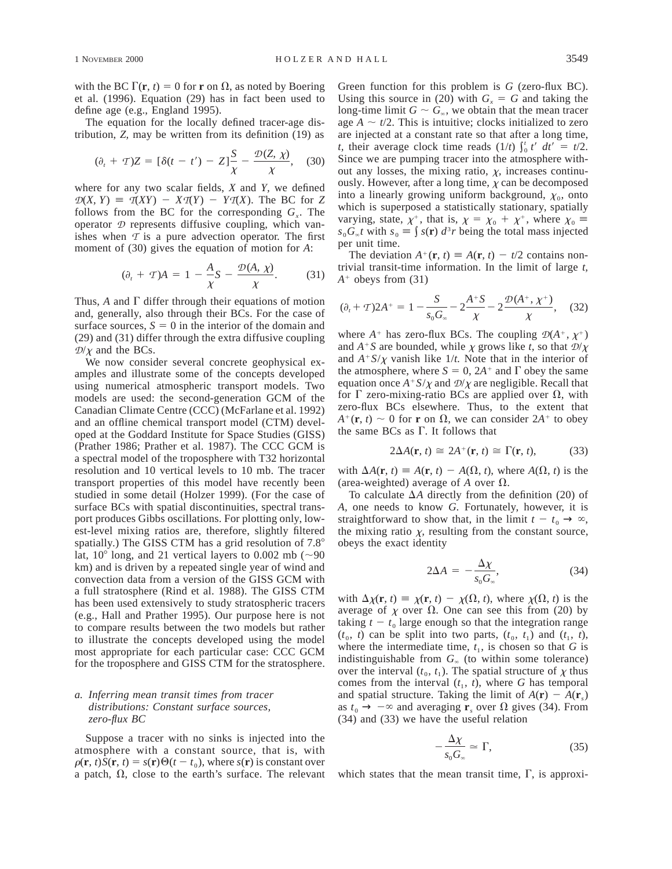with the BC  $\Gamma(\mathbf{r}, t) = 0$  for **r** on  $\Omega$ , as noted by Boering et al. (1996). Equation (29) has in fact been used to define age (e.g., England 1995).

The equation for the locally defined tracer-age distribution, *Z,* may be written from its definition (19) as

$$
(\partial_t + T)Z = [\delta(t - t') - Z]\frac{S}{\chi} - \frac{\mathcal{D}(Z, \chi)}{\chi}, \quad (30)
$$

where for any two scalar fields, *X* and *Y,* we defined  $D(X, Y) = T(XY) - XT(Y) - YT(X)$ . The BC for *Z* follows from the BC for the corresponding  $G<sub>r</sub>$ . The operator *D* represents diffusive coupling, which vanishes when  $\tau$  is a pure advection operator. The first moment of (30) gives the equation of motion for *A*:

$$
(\partial_t + T)A = 1 - \frac{A}{\chi}S - \frac{\mathcal{D}(A, \chi)}{\chi}.
$$
 (31)

Thus,  $A$  and  $\Gamma$  differ through their equations of motion and, generally, also through their BCs. For the case of surface sources,  $S = 0$  in the interior of the domain and (29) and (31) differ through the extra diffusive coupling  $D/\chi$  and the BCs.

We now consider several concrete geophysical examples and illustrate some of the concepts developed using numerical atmospheric transport models. Two models are used: the second-generation GCM of the Canadian Climate Centre (CCC) (McFarlane et al. 1992) and an offline chemical transport model (CTM) developed at the Goddard Institute for Space Studies (GISS) (Prather 1986; Prather et al. 1987). The CCC GCM is a spectral model of the troposphere with T32 horizontal resolution and 10 vertical levels to 10 mb. The tracer transport properties of this model have recently been studied in some detail (Holzer 1999). (For the case of surface BCs with spatial discontinuities, spectral transport produces Gibbs oscillations. For plotting only, lowest-level mixing ratios are, therefore, slightly filtered spatially.) The GISS CTM has a grid resolution of  $7.8^\circ$ lat,  $10^{\circ}$  long, and 21 vertical layers to 0.002 mb ( $\sim$ 90 km) and is driven by a repeated single year of wind and convection data from a version of the GISS GCM with a full stratosphere (Rind et al. 1988). The GISS CTM has been used extensively to study stratospheric tracers (e.g., Hall and Prather 1995). Our purpose here is not to compare results between the two models but rather to illustrate the concepts developed using the model most appropriate for each particular case: CCC GCM for the troposphere and GISS CTM for the stratosphere.

## *a. Inferring mean transit times from tracer distributions: Constant surface sources, zero-flux BC*

Suppose a tracer with no sinks is injected into the atmosphere with a constant source, that is, with  $\rho(\mathbf{r}, t)S(\mathbf{r}, t) = s(\mathbf{r})\Theta(t - t_0)$ , where  $s(\mathbf{r})$  is constant over a patch,  $\Omega$ , close to the earth's surface. The relevant Green function for this problem is *G* (zero-flux BC). Using this source in (20) with  $G_x = G$  and taking the long-time limit  $G \sim G_{\infty}$ , we obtain that the mean tracer age  $A \sim t/2$ . This is intuitive; clocks initialized to zero are injected at a constant rate so that after a long time, *t*, their average clock time reads  $(1/t)$   $\int_0^t t' dt' = t/2$ . Since we are pumping tracer into the atmosphere without any losses, the mixing ratio,  $\chi$ , increases continuously. However, after a long time,  $\chi$  can be decomposed into a linearly growing uniform background,  $\chi_0$ , onto which is superposed a statistically stationary, spatially varying, state,  $\chi^+$ , that is,  $\chi = \chi_0 + \chi^+$ , where  $\chi_0 =$  $s_0 G_\infty t$  with  $s_0 \equiv \int s(\mathbf{r}) d^3 r$  being the total mass injected per unit time.

The deviation  $A^+(\mathbf{r}, t) \equiv A(\mathbf{r}, t) - t/2$  contains nontrivial transit-time information. In the limit of large *t,*  $A^+$  obeys from (31)

$$
(\partial_t + T)2A^+ = 1 - \frac{S}{s_0 G_\infty} - 2\frac{A^+S}{\chi} - 2\frac{\mathcal{D}(A^+, \chi^+)}{\chi}, \quad (32)
$$

where  $A^+$  has zero-flux BCs. The coupling  $\mathcal{D}(A^+, \chi^+)$ and  $A^+S$  are bounded, while  $\chi$  grows like *t*, so that  $\mathcal{D}/\chi$ and  $A^+S/\chi$  vanish like  $1/t$ . Note that in the interior of the atmosphere, where  $S = 0$ ,  $2A^+$  and  $\Gamma$  obey the same equation once  $A^+S/\chi$  and  $\mathcal{D}/\chi$  are negligible. Recall that for  $\Gamma$  zero-mixing-ratio BCs are applied over  $\Omega$ , with zero-flux BCs elsewhere. Thus, to the extent that  $A^+(\mathbf{r}, t) \sim 0$  for **r** on  $\Omega$ , we can consider  $2A^+$  to obey the same BCs as  $\Gamma$ . It follows that

$$
2\Delta A(\mathbf{r}, t) \cong 2A^+(\mathbf{r}, t) \cong \Gamma(\mathbf{r}, t), \tag{33}
$$

with  $\Delta A(\mathbf{r}, t) \equiv A(\mathbf{r}, t) - A(\Omega, t)$ , where  $A(\Omega, t)$  is the (area-weighted) average of A over  $\Omega$ .

To calculate  $\Delta A$  directly from the definition (20) of *A,* one needs to know *G.* Fortunately, however, it is straightforward to show that, in the limit  $t - t_0 \rightarrow \infty$ , the mixing ratio  $\chi$ , resulting from the constant source, obeys the exact identity

$$
2\Delta A = -\frac{\Delta \chi}{s_0 G_\infty},\tag{34}
$$

with  $\Delta \chi(\mathbf{r}, t) \equiv \chi(\mathbf{r}, t) - \chi(\Omega, t)$ , where  $\chi(\Omega, t)$  is the average of  $\chi$  over  $\Omega$ . One can see this from (20) by taking  $t - t_0$  large enough so that the integration range  $(t_0, t)$  can be split into two parts,  $(t_0, t_1)$  and  $(t_1, t)$ , where the intermediate time,  $t_1$ , is chosen so that *G* is indistinguishable from  $G_{\infty}$  (to within some tolerance) over the interval  $(t_0, t_1)$ . The spatial structure of  $\chi$  thus comes from the interval  $(t_1, t)$ , where  $G$  has temporal and spatial structure. Taking the limit of  $A(\mathbf{r}) - A(\mathbf{r})$ as  $t_0 \rightarrow -\infty$  and averaging **r**<sub>*s*</sub> over  $\Omega$  gives (34). From (34) and (33) we have the useful relation

$$
-\frac{\Delta \chi}{s_0 G_\infty} \simeq \Gamma,\tag{35}
$$

which states that the mean transit time,  $\Gamma$ , is approxi-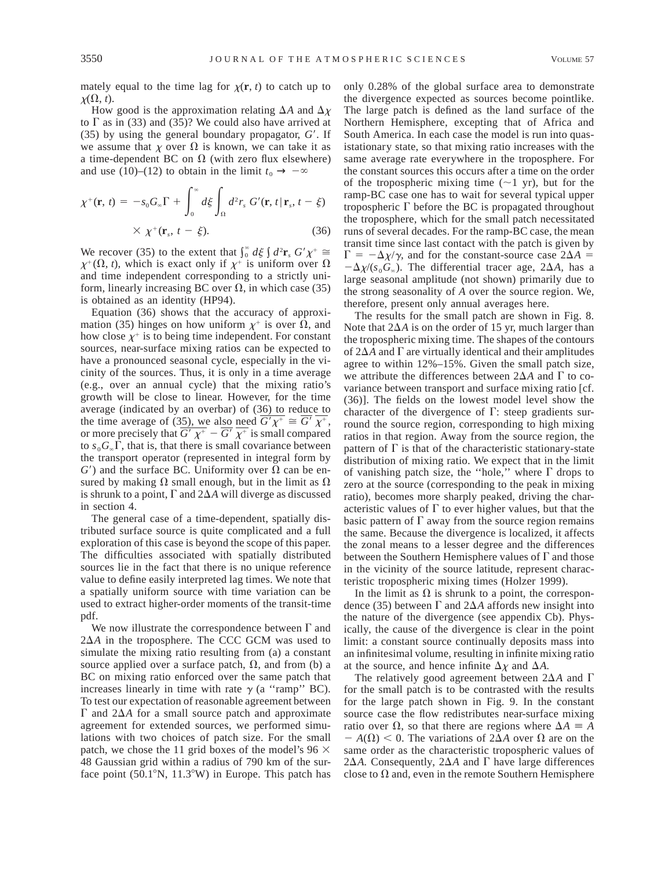mately equal to the time lag for  $\chi(\mathbf{r}, t)$  to catch up to  $\chi(\Omega, t)$ .

How good is the approximation relating  $\Delta A$  and  $\Delta \chi$ to  $\Gamma$  as in (33) and (35)? We could also have arrived at  $(35)$  by using the general boundary propagator,  $G'$ . If we assume that  $\chi$  over  $\Omega$  is known, we can take it as a time-dependent BC on  $\Omega$  (with zero flux elsewhere) and use (10)–(12) to obtain in the limit  $t_0 \rightarrow -\infty$ 

$$
\chi^{+}(\mathbf{r}, t) = -s_0 G_{\infty} \Gamma + \int_0^{\infty} d\xi \int_{\Omega} d^2 r_s G'(\mathbf{r}, t | \mathbf{r}_s, t - \xi)
$$
  
 
$$
\times \chi^{+}(\mathbf{r}_s, t - \xi).
$$
 (36)

We recover (35) to the extent that  $\int_0^{\infty} d\xi \int d^2 \mathbf{r}_s G' \chi^+ \approx$  $\chi^+(\Omega, t)$ , which is exact only if  $\chi^+$  is uniform over  $\Omega$ and time independent corresponding to a strictly uniform, linearly increasing BC over  $\Omega$ , in which case (35) is obtained as an identity (HP94).

Equation (36) shows that the accuracy of approximation (35) hinges on how uniform  $\chi^+$  is over  $\Omega$ , and how close  $\chi^+$  is to being time independent. For constant sources, near-surface mixing ratios can be expected to have a pronounced seasonal cycle, especially in the vicinity of the sources. Thus, it is only in a time average (e.g., over an annual cycle) that the mixing ratio's growth will be close to linear. However, for the time average (indicated by an overbar) of (36) to reduce to the time average of (35), we also need  $\overline{G' \chi^+} \cong \overline{G'} \overline{\chi^+}$ , or more precisely that  $\overline{G' \chi^+} - \overline{G'} \overline{\chi^+}$  is small compared to  $s_0 G_\infty \Gamma$ , that is, that there is small covariance between the transport operator (represented in integral form by  $G'$ ) and the surface BC. Uniformity over  $\Omega$  can be ensured by making  $\Omega$  small enough, but in the limit as  $\Omega$ is shrunk to a point,  $\Gamma$  and  $2\Delta A$  will diverge as discussed in section 4.

The general case of a time-dependent, spatially distributed surface source is quite complicated and a full exploration of this case is beyond the scope of this paper. The difficulties associated with spatially distributed sources lie in the fact that there is no unique reference value to define easily interpreted lag times. We note that a spatially uniform source with time variation can be used to extract higher-order moments of the transit-time pdf.

We now illustrate the correspondence between  $\Gamma$  and  $2\Delta A$  in the troposphere. The CCC GCM was used to simulate the mixing ratio resulting from (a) a constant source applied over a surface patch,  $\Omega$ , and from (b) a BC on mixing ratio enforced over the same patch that increases linearly in time with rate  $\gamma$  (a "ramp" BC). To test our expectation of reasonable agreement between  $\Gamma$  and 2 $\Delta A$  for a small source patch and approximate agreement for extended sources, we performed simulations with two choices of patch size. For the small patch, we chose the 11 grid boxes of the model's 96  $\times$ 48 Gaussian grid within a radius of 790 km of the surface point  $(50.1^{\circ}N, 11.3^{\circ}W)$  in Europe. This patch has only 0.28% of the global surface area to demonstrate the divergence expected as sources become pointlike. The large patch is defined as the land surface of the Northern Hemisphere, excepting that of Africa and South America. In each case the model is run into quasistationary state, so that mixing ratio increases with the same average rate everywhere in the troposphere. For the constant sources this occurs after a time on the order of the tropospheric mixing time  $(\sim 1 \text{ yr})$ , but for the ramp-BC case one has to wait for several typical upper tropospheric  $\Gamma$  before the BC is propagated throughout the troposphere, which for the small patch necessitated runs of several decades. For the ramp-BC case, the mean transit time since last contact with the patch is given by  $\Gamma = -\Delta \chi / \gamma$ , and for the constant-source case  $2\Delta A =$  $-\Delta \chi/(s_0 G_\infty)$ . The differential tracer age, 2 $\Delta A$ , has a large seasonal amplitude (not shown) primarily due to the strong seasonality of *A* over the source region. We, therefore, present only annual averages here.

The results for the small patch are shown in Fig. 8. Note that  $2\Delta A$  is on the order of 15 yr, much larger than the tropospheric mixing time. The shapes of the contours of  $2\Delta A$  and  $\Gamma$  are virtually identical and their amplitudes agree to within 12%–15%. Given the small patch size, we attribute the differences between  $2\Delta A$  and  $\Gamma$  to covariance between transport and surface mixing ratio [cf. (36)]. The fields on the lowest model level show the character of the divergence of  $\Gamma$ : steep gradients surround the source region, corresponding to high mixing ratios in that region. Away from the source region, the pattern of  $\Gamma$  is that of the characteristic stationary-state distribution of mixing ratio. We expect that in the limit of vanishing patch size, the "hole," where  $\Gamma$  drops to zero at the source (corresponding to the peak in mixing ratio), becomes more sharply peaked, driving the characteristic values of  $\Gamma$  to ever higher values, but that the basic pattern of  $\Gamma$  away from the source region remains the same. Because the divergence is localized, it affects the zonal means to a lesser degree and the differences between the Southern Hemisphere values of  $\Gamma$  and those in the vicinity of the source latitude, represent characteristic tropospheric mixing times (Holzer 1999).

In the limit as  $\Omega$  is shrunk to a point, the correspondence (35) between  $\Gamma$  and 2 $\Delta A$  affords new insight into the nature of the divergence (see appendix Cb). Physically, the cause of the divergence is clear in the point limit: a constant source continually deposits mass into an infinitesimal volume, resulting in infinite mixing ratio at the source, and hence infinite  $\Delta \chi$  and  $\Delta A$ .

The relatively good agreement between  $2\Delta A$  and  $\Gamma$ for the small patch is to be contrasted with the results for the large patch shown in Fig. 9. In the constant source case the flow redistributes near-surface mixing ratio over  $\Omega$ , so that there are regions where  $\Delta A \equiv A$  $-A(\Omega) < 0$ . The variations of 2 $\Delta A$  over  $\Omega$  are on the same order as the characteristic tropospheric values of 2 $\Delta A$ . Consequently, 2 $\Delta A$  and  $\Gamma$  have large differences close to  $\Omega$  and, even in the remote Southern Hemisphere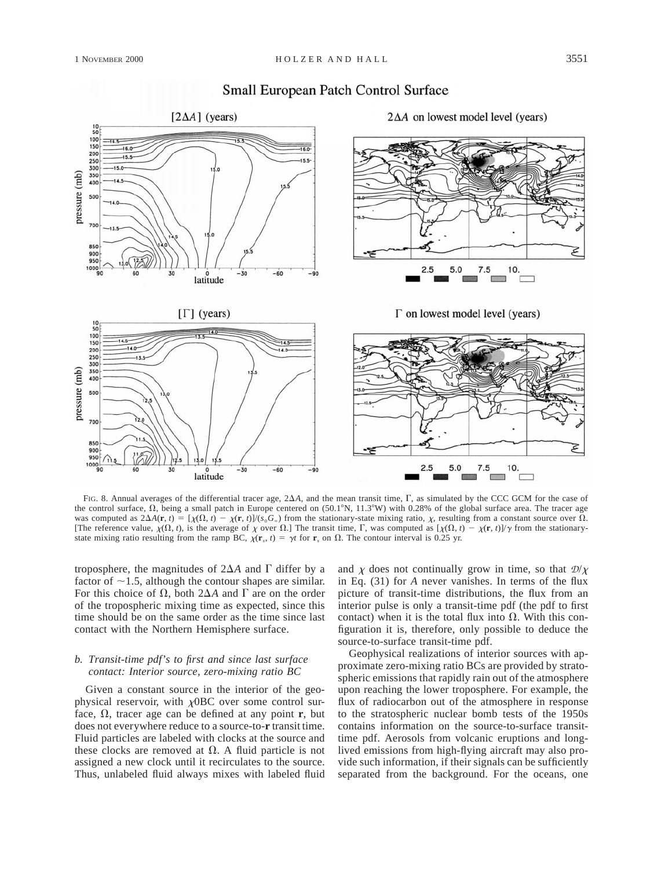

# **Small European Patch Control Surface**

FIG. 8. Annual averages of the differential tracer age,  $2\Delta A$ , and the mean transit time,  $\Gamma$ , as simulated by the CCC GCM for the case of the control surface,  $\Omega$ , being a small patch in Europe centered on (50.1°N, 11.3°W) with 0.28% of the global surface area. The tracer age was computed as  $2\Delta A(\mathbf{r}, t) = [\chi(\Omega, t) - \chi(\mathbf{r}, t)]/(\chi_0 G_\infty)$  from the stationary-state mixing ratio,  $\chi$ , resulting from a constant source over  $\Omega$ . [The reference value,  $\chi(\Omega, t)$ , is the average of  $\chi$  over  $\Omega$ .] The transit time,  $\Gamma$ , was computed as  $[\chi(\Omega, t) - \chi(\mathbf{r}, t)]/\gamma$  from the stationarystate mixing ratio resulting from the ramp BC,  $\chi(\mathbf{r}_s, t) = \gamma t$  for  $\mathbf{r}_s$  on  $\Omega$ . The contour interval is 0.25 yr.

troposphere, the magnitudes of  $2\Delta A$  and  $\Gamma$  differ by a factor of  $\sim$ 1.5, although the contour shapes are similar. For this choice of  $\Omega$ , both  $2\Delta A$  and  $\Gamma$  are on the order of the tropospheric mixing time as expected, since this time should be on the same order as the time since last contact with the Northern Hemisphere surface.

## *b. Transit-time pdf's to first and since last surface contact: Interior source, zero-mixing ratio BC*

Given a constant source in the interior of the geophysical reservoir, with  $\chi$ OBC over some control surface,  $\Omega$ , tracer age can be defined at any point **r**, but does not everywhere reduce to a source-to-**r** transit time. Fluid particles are labeled with clocks at the source and these clocks are removed at  $\Omega$ . A fluid particle is not assigned a new clock until it recirculates to the source. Thus, unlabeled fluid always mixes with labeled fluid and  $\chi$  does not continually grow in time, so that  $\mathcal{D}/\chi$ in Eq. (31) for *A* never vanishes. In terms of the flux picture of transit-time distributions, the flux from an interior pulse is only a transit-time pdf (the pdf to first contact) when it is the total flux into  $\Omega$ . With this configuration it is, therefore, only possible to deduce the source-to-surface transit-time pdf.

Geophysical realizations of interior sources with approximate zero-mixing ratio BCs are provided by stratospheric emissions that rapidly rain out of the atmosphere upon reaching the lower troposphere. For example, the flux of radiocarbon out of the atmosphere in response to the stratospheric nuclear bomb tests of the 1950s contains information on the source-to-surface transittime pdf. Aerosols from volcanic eruptions and longlived emissions from high-flying aircraft may also provide such information, if their signals can be sufficiently separated from the background. For the oceans, one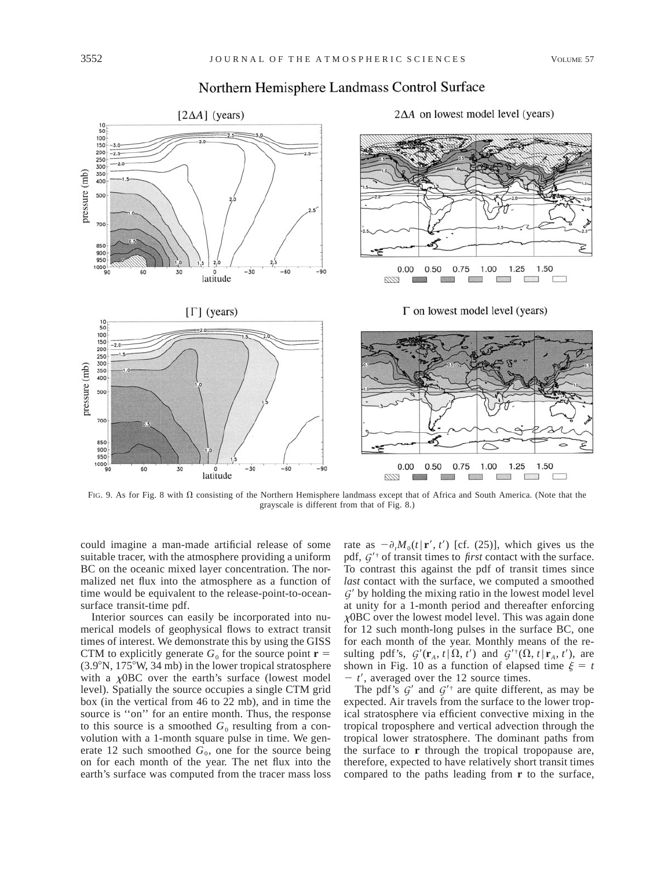

# Northern Hemisphere Landmass Control Surface

FIG. 9. As for Fig. 8 with  $\Omega$  consisting of the Northern Hemisphere landmass except that of Africa and South America. (Note that the grayscale is different from that of Fig. 8.)

could imagine a man-made artificial release of some suitable tracer, with the atmosphere providing a uniform BC on the oceanic mixed layer concentration. The normalized net flux into the atmosphere as a function of time would be equivalent to the release-point-to-oceansurface transit-time pdf.

Interior sources can easily be incorporated into numerical models of geophysical flows to extract transit times of interest. We demonstrate this by using the GISS CTM to explicitly generate  $G_0$  for the source point  $\mathbf{r} =$  $(3.9°N, 175°W, 34 mb)$  in the lower tropical stratosphere with a  $\chi$ OBC over the earth's surface (lowest model level). Spatially the source occupies a single CTM grid box (in the vertical from 46 to 22 mb), and in time the source is "on" for an entire month. Thus, the response to this source is a smoothed  $G_0$  resulting from a convolution with a 1-month square pulse in time. We generate 12 such smoothed  $G_0$ , one for the source being on for each month of the year. The net flux into the earth's surface was computed from the tracer mass loss rate as  $-\partial_t M_0(t | \mathbf{r}', t')$  [cf. (25)], which gives us the pdf,  $G^{\prime \dagger}$  of transit times to *first* contact with the surface. To contrast this against the pdf of transit times since *last* contact with the surface, we computed a smoothed  $G'$  by holding the mixing ratio in the lowest model level at unity for a 1-month period and thereafter enforcing  $\chi$ OBC over the lowest model level. This was again done for 12 such month-long pulses in the surface BC, one for each month of the year. Monthly means of the resulting pdf's,  $G'(\mathbf{r}_A, t | \Omega, t')$  and  $G'^{\dagger}(\Omega, t | \mathbf{r}_A, t')$ , are shown in Fig. 10 as a function of elapsed time  $\xi = t$  $t'$ , averaged over the 12 source times.

The pdf's  $G'$  and  $G'^{\dagger}$  are quite different, as may be expected. Air travels from the surface to the lower tropical stratosphere via efficient convective mixing in the tropical troposphere and vertical advection through the tropical lower stratosphere. The dominant paths from the surface to **r** through the tropical tropopause are, therefore, expected to have relatively short transit times compared to the paths leading from **r** to the surface,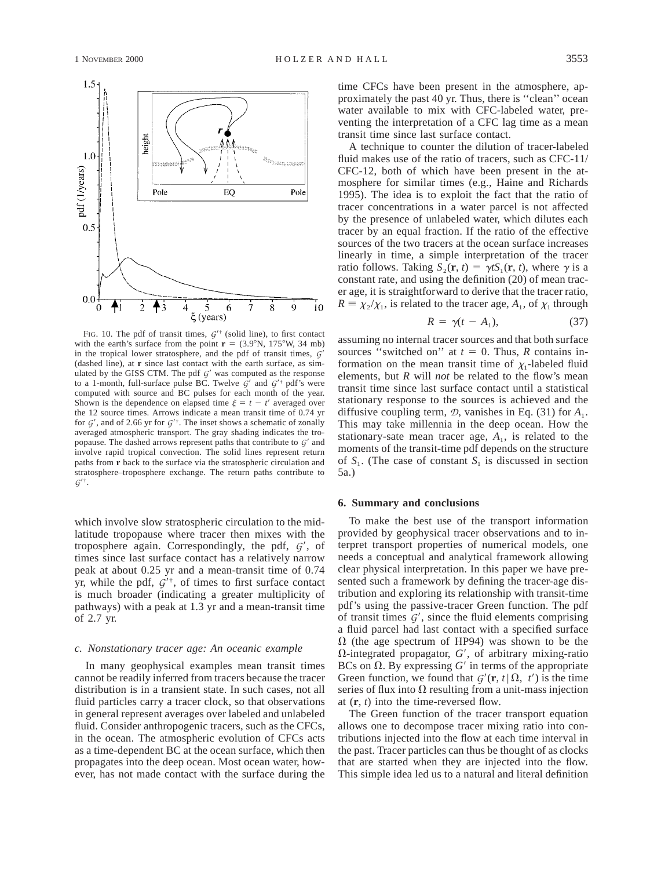

FIG. 10. The pdf of transit times,  $G^{\prime\dagger}$  (solid line), to first contact with the earth's surface from the point  $\mathbf{r} = (3.9^{\circ} \text{N}, 175^{\circ} \text{W}, 34 \text{ mb})$ in the tropical lower stratosphere, and the pdf of transit times,  $G<sup>2</sup>$ (dashed line), at **r** since last contact with the earth surface, as simulated by the GISS CTM. The pdf  $G'$  was computed as the response to a 1-month, full-surface pulse BC. Twelve  $G'$  and  $G'^{\dagger}$  pdf's were computed with source and BC pulses for each month of the year. Shown is the dependence on elapsed time  $\xi = t - t'$  averaged over the 12 source times. Arrows indicate a mean transit time of 0.74 yr for  $G'$ , and of 2.66 yr for  $G'^{\dagger}$ . The inset shows a schematic of zonally averaged atmospheric transport. The gray shading indicates the tropopause. The dashed arrows represent paths that contribute to  $G'$  and involve rapid tropical convection. The solid lines represent return paths from **r** back to the surface via the stratospheric circulation and stratosphere–troposphere exchange. The return paths contribute to  $G^{\prime \dagger}$ .

which involve slow stratospheric circulation to the midlatitude tropopause where tracer then mixes with the troposphere again. Correspondingly, the pdf,  $G'$ , of times since last surface contact has a relatively narrow peak at about 0.25 yr and a mean-transit time of 0.74 yr, while the pdf,  $G^{\prime\dagger}$ , of times to first surface contact is much broader (indicating a greater multiplicity of pathways) with a peak at 1.3 yr and a mean-transit time of 2.7 yr.

### *c. Nonstationary tracer age: An oceanic example*

In many geophysical examples mean transit times cannot be readily inferred from tracers because the tracer distribution is in a transient state. In such cases, not all fluid particles carry a tracer clock, so that observations in general represent averages over labeled and unlabeled fluid. Consider anthropogenic tracers, such as the CFCs, in the ocean. The atmospheric evolution of CFCs acts as a time-dependent BC at the ocean surface, which then propagates into the deep ocean. Most ocean water, however, has not made contact with the surface during the time CFCs have been present in the atmosphere, approximately the past 40 yr. Thus, there is ''clean'' ocean water available to mix with CFC-labeled water, preventing the interpretation of a CFC lag time as a mean transit time since last surface contact.

A technique to counter the dilution of tracer-labeled fluid makes use of the ratio of tracers, such as CFC-11/ CFC-12, both of which have been present in the atmosphere for similar times (e.g., Haine and Richards 1995). The idea is to exploit the fact that the ratio of tracer concentrations in a water parcel is not affected by the presence of unlabeled water, which dilutes each tracer by an equal fraction. If the ratio of the effective sources of the two tracers at the ocean surface increases linearly in time, a simple interpretation of the tracer ratio follows. Taking  $S_2(\mathbf{r}, t) = \gamma t S_1(\mathbf{r}, t)$ , where  $\gamma$  is a constant rate, and using the definition (20) of mean tracer age, it is straightforward to derive that the tracer ratio,  $R \equiv \chi_2/\chi_1$ , is related to the tracer age,  $A_1$ , of  $\chi_1$  through

$$
R = \gamma(t - A_1), \tag{37}
$$

assuming no internal tracer sources and that both surface sources "switched on" at  $t = 0$ . Thus, *R* contains information on the mean transit time of  $\chi_1$ -labeled fluid elements, but *R* will *not* be related to the flow's mean transit time since last surface contact until a statistical stationary response to the sources is achieved and the diffusive coupling term,  $\mathcal{D}$ , vanishes in Eq. (31) for  $A_1$ . This may take millennia in the deep ocean. How the stationary-sate mean tracer age,  $A_1$ , is related to the moments of the transit-time pdf depends on the structure of  $S_1$ . (The case of constant  $S_1$  is discussed in section 5a.)

### **6. Summary and conclusions**

To make the best use of the transport information provided by geophysical tracer observations and to interpret transport properties of numerical models, one needs a conceptual and analytical framework allowing clear physical interpretation. In this paper we have presented such a framework by defining the tracer-age distribution and exploring its relationship with transit-time pdf's using the passive-tracer Green function. The pdf of transit times  $G'$ , since the fluid elements comprising a fluid parcel had last contact with a specified surface  $\Omega$  (the age spectrum of HP94) was shown to be the  $\Omega$ -integrated propagator,  $G'$ , of arbitrary mixing-ratio BCs on  $\Omega$ . By expressing  $G'$  in terms of the appropriate Green function, we found that  $G'(\mathbf{r}, t | \Omega, t')$  is the time series of flux into  $\Omega$  resulting from a unit-mass injection at (**r**, *t*) into the time-reversed flow.

The Green function of the tracer transport equation allows one to decompose tracer mixing ratio into contributions injected into the flow at each time interval in the past. Tracer particles can thus be thought of as clocks that are started when they are injected into the flow. This simple idea led us to a natural and literal definition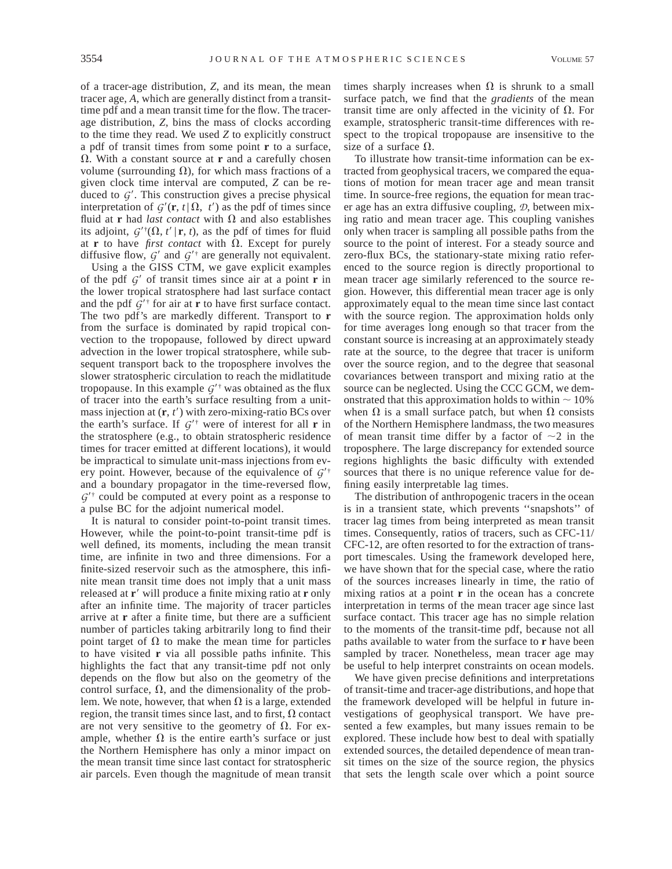of a tracer-age distribution, *Z,* and its mean, the mean tracer age, *A,* which are generally distinct from a transittime pdf and a mean transit time for the flow. The tracerage distribution, *Z,* bins the mass of clocks according to the time they read. We used *Z* to explicitly construct a pdf of transit times from some point **r** to a surface,  $\Omega$ . With a constant source at **r** and a carefully chosen volume (surrounding  $\Omega$ ), for which mass fractions of a given clock time interval are computed, *Z* can be reduced to  $G'$ . This construction gives a precise physical interpretation of  $G'(\mathbf{r}, t | \Omega, t')$  as the pdf of times since fluid at **r** had *last contact* with  $\Omega$  and also establishes its adjoint,  $G'(\Omega, t' | \mathbf{r}, t)$ , as the pdf of times for fluid at **r** to have *first contact* with  $\Omega$ . Except for purely diffusive flow,  $G'$  and  $G'^{\dagger}$  are generally not equivalent.

Using a the GISS CTM, we gave explicit examples of the pdf  $G'$  of transit times since air at a point **r** in the lower tropical stratosphere had last surface contact and the pdf  $G^{\prime \dagger}$  for air at **r** to have first surface contact. The two pdf's are markedly different. Transport to **r** from the surface is dominated by rapid tropical convection to the tropopause, followed by direct upward advection in the lower tropical stratosphere, while subsequent transport back to the troposphere involves the slower stratospheric circulation to reach the midlatitude tropopause. In this example  $G^{\prime\dagger}$  was obtained as the flux of tracer into the earth's surface resulting from a unitmass injection at  $(\mathbf{r}, t')$  with zero-mixing-ratio BCs over the earth's surface. If  $G^{\prime\dagger}$  were of interest for all **r** in the stratosphere (e.g., to obtain stratospheric residence times for tracer emitted at different locations), it would be impractical to simulate unit-mass injections from every point. However, because of the equivalence of  $G^{\prime\dagger}$ and a boundary propagator in the time-reversed flow,  $G^{\prime\dagger}$  could be computed at every point as a response to a pulse BC for the adjoint numerical model.

It is natural to consider point-to-point transit times. However, while the point-to-point transit-time pdf is well defined, its moments, including the mean transit time, are infinite in two and three dimensions. For a finite-sized reservoir such as the atmosphere, this infinite mean transit time does not imply that a unit mass released at **r**9 will produce a finite mixing ratio at **r** only after an infinite time. The majority of tracer particles arrive at **r** after a finite time, but there are a sufficient number of particles taking arbitrarily long to find their point target of  $\Omega$  to make the mean time for particles to have visited **r** via all possible paths infinite. This highlights the fact that any transit-time pdf not only depends on the flow but also on the geometry of the control surface,  $\Omega$ , and the dimensionality of the problem. We note, however, that when  $\Omega$  is a large, extended region, the transit times since last, and to first,  $\Omega$  contact are not very sensitive to the geometry of  $\Omega$ . For example, whether  $\Omega$  is the entire earth's surface or just the Northern Hemisphere has only a minor impact on the mean transit time since last contact for stratospheric air parcels. Even though the magnitude of mean transit times sharply increases when  $\Omega$  is shrunk to a small surface patch, we find that the *gradients* of the mean transit time are only affected in the vicinity of  $\Omega$ . For example, stratospheric transit-time differences with respect to the tropical tropopause are insensitive to the size of a surface  $\Omega$ .

To illustrate how transit-time information can be extracted from geophysical tracers, we compared the equations of motion for mean tracer age and mean transit time. In source-free regions, the equation for mean tracer age has an extra diffusive coupling, *D*, between mixing ratio and mean tracer age. This coupling vanishes only when tracer is sampling all possible paths from the source to the point of interest. For a steady source and zero-flux BCs, the stationary-state mixing ratio referenced to the source region is directly proportional to mean tracer age similarly referenced to the source region. However, this differential mean tracer age is only approximately equal to the mean time since last contact with the source region. The approximation holds only for time averages long enough so that tracer from the constant source is increasing at an approximately steady rate at the source, to the degree that tracer is uniform over the source region, and to the degree that seasonal covariances between transport and mixing ratio at the source can be neglected. Using the CCC GCM, we demonstrated that this approximation holds to within  $\sim 10\%$ when  $\Omega$  is a small surface patch, but when  $\Omega$  consists of the Northern Hemisphere landmass, the two measures of mean transit time differ by a factor of  $\sim$ 2 in the troposphere. The large discrepancy for extended source regions highlights the basic difficulty with extended sources that there is no unique reference value for defining easily interpretable lag times.

The distribution of anthropogenic tracers in the ocean is in a transient state, which prevents ''snapshots'' of tracer lag times from being interpreted as mean transit times. Consequently, ratios of tracers, such as CFC-11/ CFC-12, are often resorted to for the extraction of transport timescales. Using the framework developed here, we have shown that for the special case, where the ratio of the sources increases linearly in time, the ratio of mixing ratios at a point **r** in the ocean has a concrete interpretation in terms of the mean tracer age since last surface contact. This tracer age has no simple relation to the moments of the transit-time pdf, because not all paths available to water from the surface to **r** have been sampled by tracer. Nonetheless, mean tracer age may be useful to help interpret constraints on ocean models.

We have given precise definitions and interpretations of transit-time and tracer-age distributions, and hope that the framework developed will be helpful in future investigations of geophysical transport. We have presented a few examples, but many issues remain to be explored. These include how best to deal with spatially extended sources, the detailed dependence of mean transit times on the size of the source region, the physics that sets the length scale over which a point source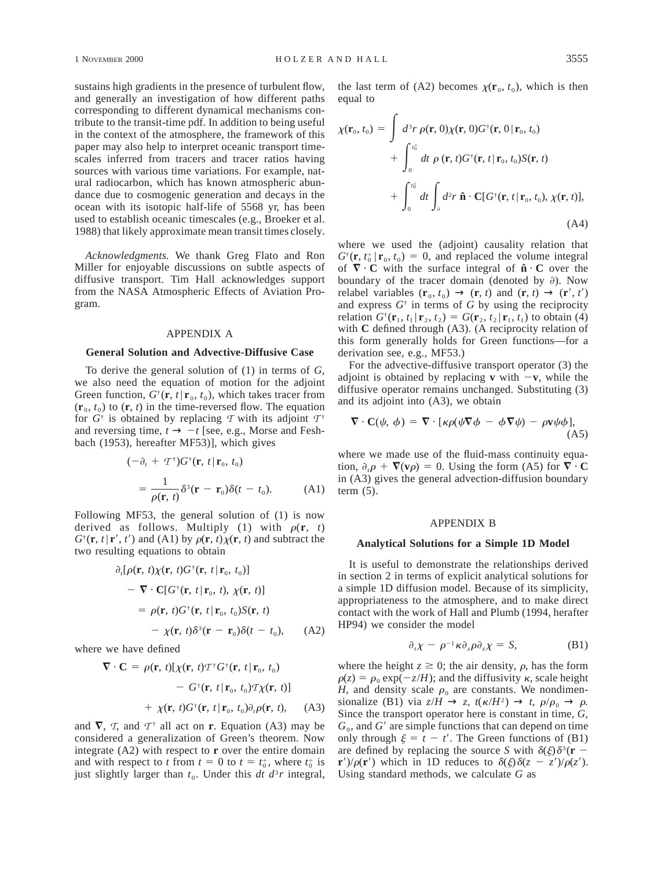sustains high gradients in the presence of turbulent flow, and generally an investigation of how different paths corresponding to different dynamical mechanisms contribute to the transit-time pdf. In addition to being useful in the context of the atmosphere, the framework of this paper may also help to interpret oceanic transport timescales inferred from tracers and tracer ratios having sources with various time variations. For example, natural radiocarbon, which has known atmospheric abundance due to cosmogenic generation and decays in the ocean with its isotopic half-life of 5568 yr, has been used to establish oceanic timescales (e.g., Broeker et al. 1988) that likely approximate mean transit times closely.

*Acknowledgments.* We thank Greg Flato and Ron Miller for enjoyable discussions on subtle aspects of diffusive transport. Tim Hall acknowledges support from the NASA Atmospheric Effects of Aviation Program.

### APPENDIX A

### **General Solution and Advective-Diffusive Case**

To derive the general solution of (1) in terms of *G,* we also need the equation of motion for the adjoint Green function,  $G^{\dagger}(\mathbf{r}, t | \mathbf{r}_0, t_0)$ , which takes tracer from  $(\mathbf{r}_0, t_0)$  to  $(\mathbf{r}, t)$  in the time-reversed flow. The equation for  $G^{\dagger}$  is obtained by replacing T with its adjoint  $T^{\dagger}$ and reversing time,  $t \rightarrow -t$  [see, e.g., Morse and Feshbach (1953), hereafter MF53)], which gives

$$
(-\partial_t + \mathcal{T}^{\dagger})G^{\dagger}(\mathbf{r}, t | \mathbf{r}_0, t_0)
$$
  
= 
$$
\frac{1}{\rho(\mathbf{r}, t)} \delta^3(\mathbf{r} - \mathbf{r}_0) \delta(t - t_0).
$$
 (A1)

Following MF53, the general solution of (1) is now derived as follows. Multiply (1) with  $\rho(\mathbf{r}, t)$  $G^{\dagger}(\mathbf{r}, t | \mathbf{r}', t')$  and (A1) by  $\rho(\mathbf{r}, t) \chi(\mathbf{r}, t)$  and subtract the two resulting equations to obtain

$$
\partial_t[\rho(\mathbf{r}, t)\chi(\mathbf{r}, t)G^{\dagger}(\mathbf{r}, t|\mathbf{r}_0, t_0)]
$$
  
\n
$$
-\nabla \cdot \mathbf{C}[G^{\dagger}(\mathbf{r}, t|\mathbf{r}_0, t), \chi(\mathbf{r}, t)]
$$
  
\n
$$
= \rho(\mathbf{r}, t)G^{\dagger}(\mathbf{r}, t|\mathbf{r}_0, t_0)S(\mathbf{r}, t)
$$
  
\n
$$
-\chi(\mathbf{r}, t)\delta^3(\mathbf{r}-\mathbf{r}_0)\delta(t-t_0), \qquad (A2)
$$

where we have defined

$$
\nabla \cdot \mathbf{C} = \rho(\mathbf{r}, t) [\chi(\mathbf{r}, t) \mathcal{T}^{\dagger} G^{\dagger}(\mathbf{r}, t | \mathbf{r}_0, t_0) \n- G^{\dagger}(\mathbf{r}, t | \mathbf{r}_0, t_0) \mathcal{T} \chi(\mathbf{r}, t)] \n+ \chi(\mathbf{r}, t) G^{\dagger}(\mathbf{r}, t | \mathbf{r}_0, t_0) \partial_t \rho(\mathbf{r}, t), \quad (A3)
$$

and  $\nabla$ , *T*, and  $T^{\dagger}$  all act on **r**. Equation (A3) may be considered a generalization of Green's theorem. Now integrate (A2) with respect to **r** over the entire domain and with respect to *t* from  $t = 0$  to  $t = t_0^+$ , where  $t_0^+$  is just slightly larger than  $t_0$ . Under this  $dt$   $d^3r$  integral, the last term of (A2) becomes  $\chi(\mathbf{r}_0, t_0)$ , which is then equal to

$$
\chi(\mathbf{r}_0, t_0) = \int d^3r \, \rho(\mathbf{r}, 0) \chi(\mathbf{r}, 0) G^{\dagger}(\mathbf{r}, 0 | \mathbf{r}_0, t_0) \n+ \int_0^{t_0^+} dt \, \rho(\mathbf{r}, t) G^{\dagger}(\mathbf{r}, t | \mathbf{r}_0, t_0) S(\mathbf{r}, t) \n+ \int_0^{t_0^+} dt \int_0^{t_0^+} d^2r \, \hat{\mathbf{n}} \cdot \mathbf{C} [G^{\dagger}(\mathbf{r}, t | \mathbf{r}_0, t_0), \chi(\mathbf{r}, t)],
$$
\n(A4)

where we used the (adjoint) causality relation that  $G^{\dagger}(\mathbf{r}, t_0^+ | \mathbf{r}_0, t_0) = 0$ , and replaced the volume integral of  $\nabla \cdot \mathbf{C}$  with the surface integral of  $\hat{\mathbf{n}} \cdot \mathbf{C}$  over the boundary of the tracer domain (denoted by  $\partial$ ). Now relabel variables  $(\mathbf{r}_0, t_0) \rightarrow (\mathbf{r}, t)$  and  $(\mathbf{r}, t) \rightarrow (\mathbf{r}', t')$ and express  $G^{\dagger}$  in terms of  $G$  by using the reciprocity relation  $G^{\dagger}(\mathbf{r}_1, t_1 | \mathbf{r}_2, t_2) = G(\mathbf{r}_2, t_2 | \mathbf{r}_1, t_1)$  to obtain (4) with **C** defined through (A3). (A reciprocity relation of this form generally holds for Green functions—for a derivation see, e.g., MF53.)

For the advective-diffusive transport operator (3) the adjoint is obtained by replacing **v** with  $-\mathbf{v}$ , while the diffusive operator remains unchanged. Substituting (3) and its adjoint into (A3), we obtain

$$
\nabla \cdot \mathbf{C}(\psi, \phi) = \nabla \cdot [\kappa \rho(\psi \nabla \phi - \phi \nabla \psi) - \rho \mathbf{v} \psi \phi],
$$
\n(A5)

where we made use of the fluid-mass continuity equation,  $\partial_{\mu} \rho + \nabla(\mathbf{v}\rho) = 0$ . Using the form (A5) for  $\nabla \cdot \mathbf{C}$ in (A3) gives the general advection-diffusion boundary term  $(5)$ .

### APPENDIX B

### **Analytical Solutions for a Simple 1D Model**

It is useful to demonstrate the relationships derived in section 2 in terms of explicit analytical solutions for a simple 1D diffusion model. Because of its simplicity, appropriateness to the atmosphere, and to make direct contact with the work of Hall and Plumb (1994, herafter HP94) we consider the model

$$
\partial_t \chi - \rho^{-1} \kappa \partial_z \rho \partial_z \chi = S, \tag{B1}
$$

where the height  $z \ge 0$ ; the air density,  $\rho$ , has the form  $\rho(z) = \rho_0 \exp(-z/H)$ ; and the diffusivity  $\kappa$ , scale height *H*, and density scale  $\rho_0$  are constants. We nondimensionalize (B1) via  $z/H \to z$ ,  $t(\kappa/H^2) \to t$ ,  $\rho/\rho_0 \to \rho$ . Since the transport operator here is constant in time, *G,*  $G_0$ , and  $G'$  are simple functions that can depend on time only through  $\xi = t - t'$ . The Green functions of (B1) are defined by replacing the source *S* with  $\delta(\xi)\delta^3(\mathbf{r} - \mathbf{r})$ **r**')/ $\rho(\mathbf{r}')$  which in 1D reduces to  $\delta(\xi)\delta(z - z')/\rho(z')$ . Using standard methods, we calculate *G* as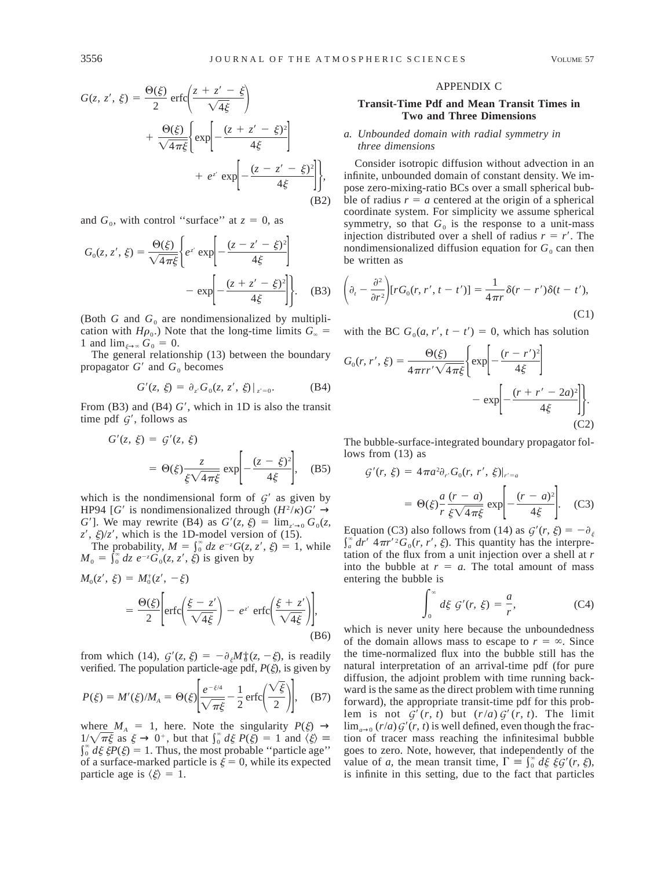$$
G(z, z', \xi) = \frac{\Theta(\xi)}{2} \operatorname{erfc}\left(\frac{z + z' - \xi}{\sqrt{4\xi}}\right)
$$

$$
+ \frac{\Theta(\xi)}{\sqrt{4\pi\xi}} \left\{ \exp\left[-\frac{(z + z' - \xi)^2}{4\xi}\right] + e^{z'} \exp\left[-\frac{(z - z' - \xi)^2}{4\xi}\right] \right\},\tag{B2}
$$

and  $G_0$ , with control "surface" at  $z = 0$ , as

$$
G_0(z, z', \xi) = \frac{\Theta(\xi)}{\sqrt{4\pi\xi}} \left\{ e^{z'} \exp\left[ -\frac{(z - z' - \xi)^2}{4\xi} \right] - \exp\left[ -\frac{(z + z' - \xi)^2}{4\xi} \right] \right\}.
$$
 (B3)

(Both  $G$  and  $G_0$  are nondimensionalized by multiplication with *H* $\rho_0$ .) Note that the long-time limits  $G_{\infty}$  = 1 and  $\lim_{\xi \to \infty} G_0 = 0$ .

The general relationship (13) between the boundary propagator  $G'$  and  $G_0$  becomes

$$
G'(z, \xi) = \partial_{z'} G_0(z, z', \xi)|_{z'=0}.
$$
 (B4)

From  $(B3)$  and  $(B4)$   $G'$ , which in 1D is also the transit time pdf  $G'$ , follows as

$$
G'(z, \xi) = G'(z, \xi)
$$
  
=  $\Theta(\xi) \frac{z}{\xi \sqrt{4\pi\xi}} \exp\left[-\frac{(z-\xi)^2}{4\xi}\right],$  (B5)

which is the nondimensional form of  $G'$  as given by HP94 [*G'* is nondimensionalized through  $(H^2/\kappa)G' \rightarrow$ *G*<sup> $\prime$ </sup>]. We may rewrite (B4) as  $G'(z, \xi) = \lim_{z \to 0} G_0(z, \xi)$  $z'$ ,  $\xi$ / $z'$ , which is the 1D-model version of (15).

The probability,  $M = \int_0^{\infty} dz \ e^{-z} G(z, z', \xi) = 1$ , while  $M_0 = \int_0^\infty dz \ e^{-z} G_0(z, z', \xi)$  is given by

$$
M_0(z', \xi) = M_0^*(z', -\xi)
$$
  
= 
$$
\frac{\Theta(\xi)}{2} \left[ \operatorname{erfc}\left(\frac{\xi - z'}{\sqrt{4\xi}}\right) - e^{z'} \operatorname{erfc}\left(\frac{\xi + z'}{\sqrt{4\xi}}\right) \right],
$$
 (B6)

from which (14),  $G'(z, \xi) = -\partial_{\xi}M_{0}^{+}(z, -\xi)$ , is readily verified. The population particle-age pdf,  $P(\xi)$ , is given by

$$
P(\xi) = M'(\xi)/M_A = \Theta(\xi) \left| \frac{e^{-\xi/4}}{\sqrt{\pi \xi}} - \frac{1}{2} \operatorname{erfc} \left( \frac{\sqrt{\xi}}{2} \right) \right|, \quad \text{(B7)}
$$

where  $M_A = 1$ , here. Note the singularity  $P(\xi) \rightarrow$  $1/\sqrt{\pi \xi}$  as  $\xi \to 0^+$ , but that  $\int_0^{\infty} d\xi P(\xi) = 1$  and  $\langle \xi \rangle =$  $\int_0^{\infty} d\xi \xi P(\xi) = 1$ . Thus, the most probable "particle age" of a surface-marked particle is  $\xi = 0$ , while its expected particle age is  $\langle \xi \rangle = 1$ .

### APPENDIX C

## **Transit-Time Pdf and Mean Transit Times in Two and Three Dimensions**

## *a. Unbounded domain with radial symmetry in three dimensions*

Consider isotropic diffusion without advection in an infinite, unbounded domain of constant density. We impose zero-mixing-ratio BCs over a small spherical bubble of radius  $r = a$  centered at the origin of a spherical coordinate system. For simplicity we assume spherical symmetry, so that  $G_0$  is the response to a unit-mass injection distributed over a shell of radius  $r = r'$ . The nondimensionalized diffusion equation for  $G_0$  can then be written as

$$
\left(\partial_t - \frac{\partial^2}{\partial r^2}\right)[rG_0(r, r', t - t')] = \frac{1}{4\pi r}\delta(r - r')\delta(t - t'),
$$
\n(C1)

with the BC  $G_0(a, r', t - t') = 0$ , which has solution

$$
G_0(r, r', \xi) = \frac{\Theta(\xi)}{4\pi r r' \sqrt{4\pi\xi}} \left\{ \exp\left[-\frac{(r-r')^2}{4\xi}\right] - \exp\left[-\frac{(r+r'-2a)^2}{4\xi}\right] \right\}.
$$
\n(C2)

The bubble-surface-integrated boundary propagator follows from (13) as

$$
G'(r, \xi) = 4\pi a^2 \partial_{r'} G_0(r, r', \xi)|_{r'=a}
$$
  
=  $\Theta(\xi) \frac{a}{r} \frac{(r-a)}{\xi \sqrt{4\pi \xi}} \exp\left[-\frac{(r-a)^2}{4\xi}\right].$  (C3)

Equation (C3) also follows from (14) as  $G'(r, \xi) = -\partial_{\xi}$  $\int_{a}^{\infty} dr' \ 4\pi r'^2 G_0(r, r', \xi)$ . This quantity has the interpretation of the flux from a unit injection over a shell at *r* into the bubble at  $r = a$ . The total amount of mass entering the bubble is

$$
\int_0^\infty d\xi \; \mathcal{G}'(r, \; \xi) = \frac{a}{r},\tag{C4}
$$

which is never unity here because the unboundedness of the domain allows mass to escape to  $r = \infty$ . Since the time-normalized flux into the bubble still has the natural interpretation of an arrival-time pdf (for pure diffusion, the adjoint problem with time running backward is the same as the direct problem with time running forward), the appropriate transit-time pdf for this problem is not  $G'(r, t)$  but  $(r/a) G'(r, t)$ . The limit  $\lim_{a\to 0} (r/a) G'(r, t)$  is well defined, even though the fraction of tracer mass reaching the infinitesimal bubble goes to zero. Note, however, that independently of the value of *a*, the mean transit time,  $\Gamma = \int_0^{\infty} d\xi \xi \xi'$  (*r,*  $\xi$ ), is infinite in this setting, due to the fact that particles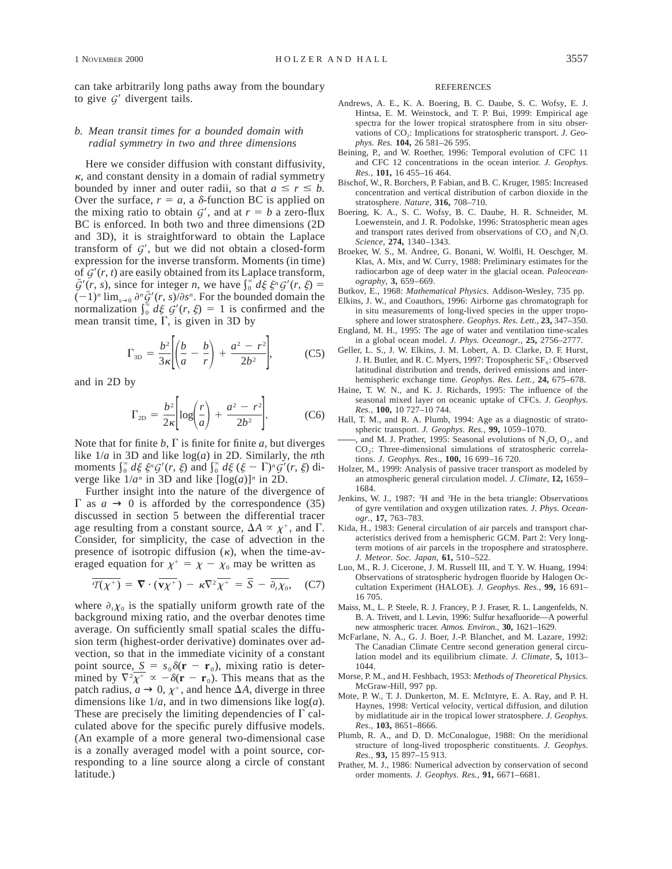can take arbitrarily long paths away from the boundary to give  $G'$  divergent tails.

## *b. Mean transit times for a bounded domain with radial symmetry in two and three dimensions*

Here we consider diffusion with constant diffusivity,  $\kappa$ , and constant density in a domain of radial symmetry bounded by inner and outer radii, so that  $a \leq r \leq b$ . Over the surface,  $r = a$ , a  $\delta$ -function BC is applied on the mixing ratio to obtain  $G'$ , and at  $r = b$  a zero-flux BC is enforced. In both two and three dimensions (2D and 3D), it is straightforward to obtain the Laplace transform of  $G'$ , but we did not obtain a closed-form expression for the inverse transform. Moments (in time) of  $G'(r, t)$  are easily obtained from its Laplace transform,  $\tilde{G}'(r, s)$ , since for integer *n*, we have  $\int_0^{\infty} d\xi \xi^n G'(r, \xi)$  $(-1)^n \lim_{s\to 0} \frac{\partial^n \tilde{G}'(r, s)}{\partial s^n}$ . For the bounded domain the normalization  $\int_0^{\infty} d\xi \ G'(r, \xi) = 1$  is confirmed and the mean transit time,  $\Gamma$ , is given in 3D by

$$
\Gamma_{\text{3D}} = \frac{b^2}{3\kappa} \left[ \left( \frac{b}{a} - \frac{b}{r} \right) + \frac{a^2 - r^2}{2b^2} \right],\tag{C5}
$$

and in 2D by

$$
\Gamma_{2D} = \frac{b^2}{2\kappa} \left[ \log \left( \frac{r}{a} \right) + \frac{a^2 - r^2}{2b^2} \right].
$$
 (C6)

Note that for finite  $b$ ,  $\Gamma$  is finite for finite  $a$ , but diverges like 1/*a* in 3D and like log(*a*) in 2D. Similarly, the *n*th moments  $\int_0^{\infty} d\xi \xi^n G'(r, \xi)$  and  $\int_0^{\infty} d\xi (\xi - \Gamma)^n G'(r, \xi)$  diverge like  $1/a^n$  in 3D and like  $[\log(a)]^n$  in 2D.

Further insight into the nature of the divergence of  $\Gamma$  as  $a \rightarrow 0$  is afforded by the correspondence (35) discussed in section 5 between the differential tracer age resulting from a constant source,  $\Delta A \propto \chi^+$ , and  $\Gamma$ . Consider, for simplicity, the case of advection in the presence of isotropic diffusion  $(\kappa)$ , when the time-averaged equation for  $\chi^+ = \chi - \chi_0$  may be written as

$$
\overline{T(\chi^+)} = \nabla \cdot (\overline{\mathbf{v}\chi^+}) - \kappa \nabla^2 \overline{\chi^+} = \overline{S} - \overline{\partial_t \chi_0}, \quad (C7)
$$

where  $\partial_t \chi_0$  is the spatially uniform growth rate of the background mixing ratio, and the overbar denotes time average. On sufficiently small spatial scales the diffusion term (highest-order derivative) dominates over advection, so that in the immediate vicinity of a constant point source,  $S = s_0 \delta(\mathbf{r} - \mathbf{r}_0)$ , mixing ratio is determined by  $\nabla^2 \overline{\chi^+} \propto -\delta(\mathbf{r} - \mathbf{r}_0)$ . This means that as the patch radius,  $a \rightarrow 0$ ,  $\chi^+$ , and hence  $\Delta A$ , diverge in three dimensions like 1/*a,* and in two dimensions like log(*a*). These are precisely the limiting dependencies of  $\Gamma$  calculated above for the specific purely diffusive models. (An example of a more general two-dimensional case is a zonally averaged model with a point source, corresponding to a line source along a circle of constant latitude.)

#### REFERENCES

- Andrews, A. E., K. A. Boering, B. C. Daube, S. C. Wofsy, E. J. Hintsa, E. M. Weinstock, and T. P. Bui, 1999: Empirical age spectra for the lower tropical stratosphere from in situ observations of CO<sub>2</sub>: Implications for stratospheric transport. *J. Geophys. Res.* **104,** 26 581–26 595.
- Beining, P., and W. Roether, 1996: Temporal evolution of CFC 11 and CFC 12 concentrations in the ocean interior. *J. Geophys. Res.,* **101,** 16 455–16 464.
- Bischof, W., R. Borchers, P. Fabian, and B. C. Kruger, 1985: Increased concentration and vertical distribution of carbon dioxide in the stratosphere. *Nature,* **316,** 708–710.
- Boering, K. A., S. C. Wofsy, B. C. Daube, H. R. Schneider, M. Loewenstein, and J. R. Podolske, 1996: Stratospheric mean ages and transport rates derived from observations of  $CO<sub>2</sub>$  and  $N<sub>2</sub>O$ . *Science,* **274,** 1340–1343.
- Broeker, W. S., M. Andree, G. Bonani, W. Wolfli, H. Oeschger, M. Klas, A. Mix, and W. Curry, 1988: Preliminary estimates for the radiocarbon age of deep water in the glacial ocean. *Paleoceanography,* **3,** 659–669.
- Butkov, E., 1968: *Mathematical Physics.* Addison-Wesley, 735 pp.
- Elkins, J. W., and Coauthors, 1996: Airborne gas chromatograph for in situ measurements of long-lived species in the upper troposphere and lower stratosphere. *Geophys. Res. Lett.,* **23,** 347–350.
- England, M. H., 1995: The age of water and ventilation time-scales in a global ocean model. *J. Phys. Oceanogr.,* **25,** 2756–2777.
- Geller, L. S., J. W. Elkins, J. M. Lobert, A. D. Clarke, D. F. Hurst, J. H. Butler, and R. C. Myers, 1997: Tropospheric  $SF_6$ : Observed latitudinal distribution and trends, derived emissions and interhemispheric exchange time. *Geophys. Res. Lett.,* **24,** 675–678.
- Haine, T. W. N., and K. J. Richards, 1995: The influence of the seasonal mixed layer on oceanic uptake of CFCs. *J. Geophys. Res.,* **100,** 10 727–10 744.
- Hall, T. M., and R. A. Plumb, 1994: Age as a diagnostic of stratospheric transport. *J. Geophys. Res.,* **99,** 1059–1070.
- , and M. J. Prather, 1995: Seasonal evolutions of  $N_2O$ ,  $O_2$ , and CO<sub>2</sub>: Three-dimensional simulations of stratospheric correlations. *J. Geophys. Res.,* **100,** 16 699–16 720.
- Holzer, M., 1999: Analysis of passive tracer transport as modeled by an atmospheric general circulation model. *J. Climate,* **12,** 1659– 1684.
- Jenkins, W. J., 1987: <sup>3</sup>H and <sup>3</sup>He in the beta triangle: Observations of gyre ventilation and oxygen utilization rates. *J. Phys. Oceanogr.,* **17,** 763–783.
- Kida, H., 1983: General circulation of air parcels and transport characteristics derived from a hemispheric GCM. Part 2: Very longterm motions of air parcels in the troposphere and stratosphere. *J. Meteor. Soc. Japan,* **61,** 510–522.
- Luo, M., R. J. Cicerone, J. M. Russell III, and T. Y. W. Huang, 1994: Observations of stratospheric hydrogen fluoride by Halogen Occultation Experiment (HALOE). *J. Geophys. Res.,* **99,** 16 691– 16 705.
- Maiss, M., L. P. Steele, R. J. Francey, P. J. Fraser, R. L. Langenfelds, N. B. A. Trivett, and I. Levin, 1996: Sulfur hexafluoride—A powerful new atmospheric tracer. *Atmos. Environ.,* **30,** 1621–1629.
- McFarlane, N. A., G. J. Boer, J.-P. Blanchet, and M. Lazare, 1992: The Canadian Climate Centre second generation general circulation model and its equilibrium climate. *J. Climate,* **5,** 1013– 1044.
- Morse, P. M., and H. Feshbach, 1953: *Methods of Theoretical Physics.* McGraw-Hill, 997 pp.
- Mote, P. W., T. J. Dunkerton, M. E. McIntyre, E. A. Ray, and P. H. Haynes, 1998: Vertical velocity, vertical diffusion, and dilution by midlatitude air in the tropical lower stratosphere. *J. Geophys. Res.,* **103,** 8651–8666.
- Plumb, R. A., and D. D. McConalogue, 1988: On the meridional structure of long-lived tropospheric constituents. *J. Geophys. Res.,* **93,** 15 897–15 913.
- Prather, M. J., 1986: Numerical advection by conservation of second order moments. *J. Geophys. Res.,* **91,** 6671–6681.